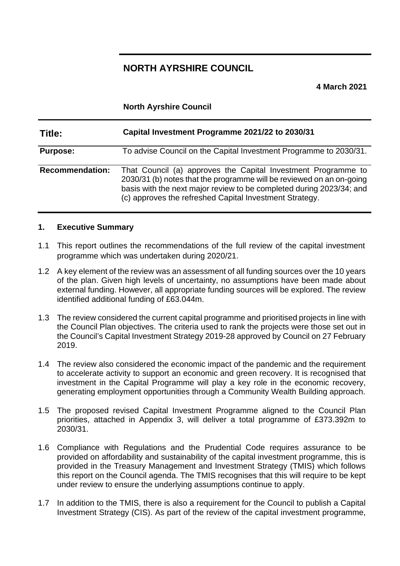# **NORTH AYRSHIRE COUNCIL**

**4 March 2021**

### **North Ayrshire Council**

| Title:                 | Capital Investment Programme 2021/22 to 2030/31                                                                                                                                                                                                                          |
|------------------------|--------------------------------------------------------------------------------------------------------------------------------------------------------------------------------------------------------------------------------------------------------------------------|
| <b>Purpose:</b>        | To advise Council on the Capital Investment Programme to 2030/31.                                                                                                                                                                                                        |
| <b>Recommendation:</b> | That Council (a) approves the Capital Investment Programme to<br>2030/31 (b) notes that the programme will be reviewed on an on-going<br>basis with the next major review to be completed during 2023/34; and<br>(c) approves the refreshed Capital Investment Strategy. |

#### **1. Executive Summary**

- 1.1 This report outlines the recommendations of the full review of the capital investment programme which was undertaken during 2020/21.
- 1.2 A key element of the review was an assessment of all funding sources over the 10 years of the plan. Given high levels of uncertainty, no assumptions have been made about external funding. However, all appropriate funding sources will be explored. The review identified additional funding of £63.044m.
- 1.3 The review considered the current capital programme and prioritised projects in line with the Council Plan objectives. The criteria used to rank the projects were those set out in the Council's Capital Investment Strategy 2019-28 approved by Council on 27 February 2019.
- 1.4 The review also considered the economic impact of the pandemic and the requirement to accelerate activity to support an economic and green recovery. It is recognised that investment in the Capital Programme will play a key role in the economic recovery, generating employment opportunities through a Community Wealth Building approach.
- 1.5 The proposed revised Capital Investment Programme aligned to the Council Plan priorities, attached in Appendix 3, will deliver a total programme of £373.392m to 2030/31.
- 1.6 Compliance with Regulations and the Prudential Code requires assurance to be provided on affordability and sustainability of the capital investment programme, this is provided in the Treasury Management and Investment Strategy (TMIS) which follows this report on the Council agenda. The TMIS recognises that this will require to be kept under review to ensure the underlying assumptions continue to apply.
- 1.7 In addition to the TMIS, there is also a requirement for the Council to publish a Capital Investment Strategy (CIS). As part of the review of the capital investment programme,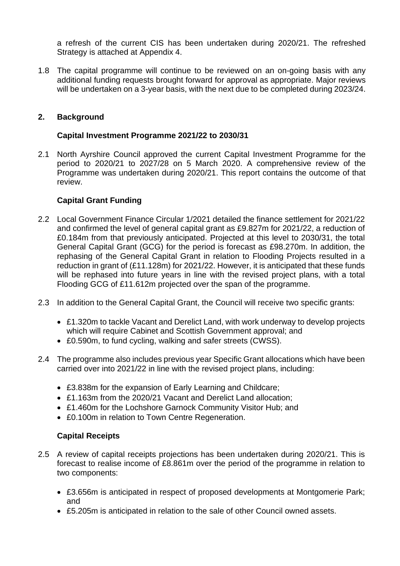a refresh of the current CIS has been undertaken during 2020/21. The refreshed Strategy is attached at Appendix 4.

1.8 The capital programme will continue to be reviewed on an on-going basis with any additional funding requests brought forward for approval as appropriate. Major reviews will be undertaken on a 3-year basis, with the next due to be completed during 2023/24.

## **2. Background**

### **Capital Investment Programme 2021/22 to 2030/31**

2.1 North Ayrshire Council approved the current Capital Investment Programme for the period to 2020/21 to 2027/28 on 5 March 2020. A comprehensive review of the Programme was undertaken during 2020/21. This report contains the outcome of that review.

## **Capital Grant Funding**

- 2.2 Local Government Finance Circular 1/2021 detailed the finance settlement for 2021/22 and confirmed the level of general capital grant as £9.827m for 2021/22, a reduction of £0.184m from that previously anticipated. Projected at this level to 2030/31, the total General Capital Grant (GCG) for the period is forecast as £98.270m. In addition, the rephasing of the General Capital Grant in relation to Flooding Projects resulted in a reduction in grant of (£11.128m) for 2021/22. However, it is anticipated that these funds will be rephased into future years in line with the revised project plans, with a total Flooding GCG of £11.612m projected over the span of the programme.
- 2.3 In addition to the General Capital Grant, the Council will receive two specific grants:
	- £1.320m to tackle Vacant and Derelict Land, with work underway to develop projects which will require Cabinet and Scottish Government approval; and
	- £0.590m, to fund cycling, walking and safer streets (CWSS).
- 2.4 The programme also includes previous year Specific Grant allocations which have been carried over into 2021/22 in line with the revised project plans, including:
	- £3.838m for the expansion of Early Learning and Childcare;
	- £1.163m from the 2020/21 Vacant and Derelict Land allocation;
	- £1.460m for the Lochshore Garnock Community Visitor Hub; and
	- £0.100m in relation to Town Centre Regeneration.

## **Capital Receipts**

- 2.5 A review of capital receipts projections has been undertaken during 2020/21. This is forecast to realise income of £8.861m over the period of the programme in relation to two components:
	- £3.656m is anticipated in respect of proposed developments at Montgomerie Park; and
	- £5.205m is anticipated in relation to the sale of other Council owned assets.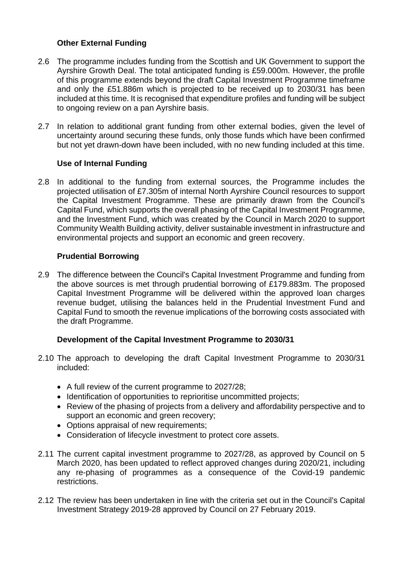## **Other External Funding**

- 2.6 The programme includes funding from the Scottish and UK Government to support the Ayrshire Growth Deal. The total anticipated funding is £59.000m. However, the profile of this programme extends beyond the draft Capital Investment Programme timeframe and only the £51.886m which is projected to be received up to 2030/31 has been included at this time. It is recognised that expenditure profiles and funding will be subject to ongoing review on a pan Ayrshire basis.
- 2.7 In relation to additional grant funding from other external bodies, given the level of uncertainty around securing these funds, only those funds which have been confirmed but not yet drawn-down have been included, with no new funding included at this time.

## **Use of Internal Funding**

2.8 In additional to the funding from external sources, the Programme includes the projected utilisation of £7.305m of internal North Ayrshire Council resources to support the Capital Investment Programme. These are primarily drawn from the Council's Capital Fund, which supports the overall phasing of the Capital Investment Programme, and the Investment Fund, which was created by the Council in March 2020 to support Community Wealth Building activity, deliver sustainable investment in infrastructure and environmental projects and support an economic and green recovery.

## **Prudential Borrowing**

2.9 The difference between the Council's Capital Investment Programme and funding from the above sources is met through prudential borrowing of £179.883m. The proposed Capital Investment Programme will be delivered within the approved loan charges revenue budget, utilising the balances held in the Prudential Investment Fund and Capital Fund to smooth the revenue implications of the borrowing costs associated with the draft Programme.

### **Development of the Capital Investment Programme to 2030/31**

- 2.10 The approach to developing the draft Capital Investment Programme to 2030/31 included:
	- A full review of the current programme to 2027/28;
	- Identification of opportunities to reprioritise uncommitted projects;
	- Review of the phasing of projects from a delivery and affordability perspective and to support an economic and green recovery;
	- Options appraisal of new requirements;
	- Consideration of lifecycle investment to protect core assets.
- 2.11 The current capital investment programme to 2027/28, as approved by Council on 5 March 2020, has been updated to reflect approved changes during 2020/21, including any re-phasing of programmes as a consequence of the Covid-19 pandemic restrictions.
- 2.12 The review has been undertaken in line with the criteria set out in the Council's Capital Investment Strategy 2019-28 approved by Council on 27 February 2019.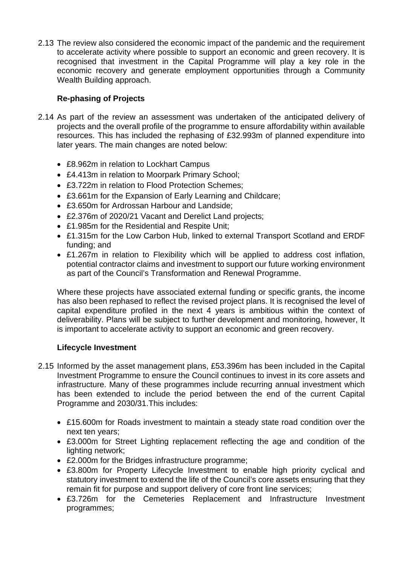2.13 The review also considered the economic impact of the pandemic and the requirement to accelerate activity where possible to support an economic and green recovery. It is recognised that investment in the Capital Programme will play a key role in the economic recovery and generate employment opportunities through a Community Wealth Building approach.

## **Re-phasing of Projects**

- 2.14 As part of the review an assessment was undertaken of the anticipated delivery of projects and the overall profile of the programme to ensure affordability within available resources. This has included the rephasing of £32.993m of planned expenditure into later years. The main changes are noted below:
	- £8.962m in relation to Lockhart Campus
	- £4.413m in relation to Moorpark Primary School;
	- £3.722m in relation to Flood Protection Schemes;
	- £3.661m for the Expansion of Early Learning and Childcare;
	- £3.650m for Ardrossan Harbour and Landside;
	- £2.376m of 2020/21 Vacant and Derelict Land projects;
	- £1.985m for the Residential and Respite Unit;
	- £1.315m for the Low Carbon Hub, linked to external Transport Scotland and ERDF funding; and
	- £1.267m in relation to Flexibility which will be applied to address cost inflation, potential contractor claims and investment to support our future working environment as part of the Council's Transformation and Renewal Programme.

Where these projects have associated external funding or specific grants, the income has also been rephased to reflect the revised project plans. It is recognised the level of capital expenditure profiled in the next 4 years is ambitious within the context of deliverability. Plans will be subject to further development and monitoring, however, It is important to accelerate activity to support an economic and green recovery.

## **Lifecycle Investment**

- 2.15 Informed by the asset management plans, £53.396m has been included in the Capital Investment Programme to ensure the Council continues to invest in its core assets and infrastructure. Many of these programmes include recurring annual investment which has been extended to include the period between the end of the current Capital Programme and 2030/31.This includes:
	- £15.600m for Roads investment to maintain a steady state road condition over the next ten years;
	- £3.000m for Street Lighting replacement reflecting the age and condition of the lighting network;
	- £2.000m for the Bridges infrastructure programme;
	- £3.800m for Property Lifecycle Investment to enable high priority cyclical and statutory investment to extend the life of the Council's core assets ensuring that they remain fit for purpose and support delivery of core front line services;
	- £3.726m for the Cemeteries Replacement and Infrastructure Investment programmes;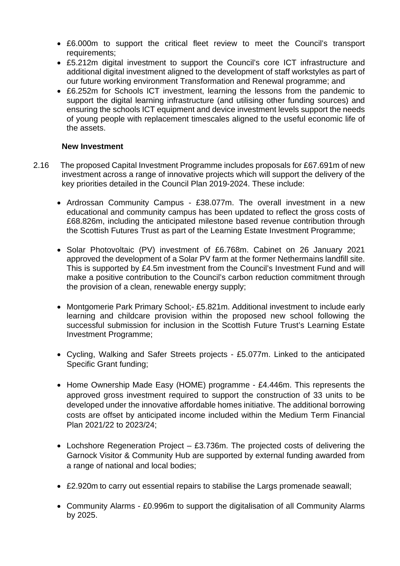- £6.000m to support the critical fleet review to meet the Council's transport requirements;
- £5.212m digital investment to support the Council's core ICT infrastructure and additional digital investment aligned to the development of staff workstyles as part of our future working environment Transformation and Renewal programme; and
- £6.252m for Schools ICT investment, learning the lessons from the pandemic to support the digital learning infrastructure (and utilising other funding sources) and ensuring the schools ICT equipment and device investment levels support the needs of young people with replacement timescales aligned to the useful economic life of the assets.

### **New Investment**

- 2.16 The proposed Capital Investment Programme includes proposals for £67.691m of new investment across a range of innovative projects which will support the delivery of the key priorities detailed in the Council Plan 2019-2024. These include:
	- Ardrossan Community Campus £38.077m. The overall investment in a new educational and community campus has been updated to reflect the gross costs of £68.826m, including the anticipated milestone based revenue contribution through the Scottish Futures Trust as part of the Learning Estate Investment Programme;
	- Solar Photovoltaic (PV) investment of £6.768m. Cabinet on 26 January 2021 approved the development of a Solar PV farm at the former Nethermains landfill site. This is supported by £4.5m investment from the Council's Investment Fund and will make a positive contribution to the Council's carbon reduction commitment through the provision of a clean, renewable energy supply;
	- Montgomerie Park Primary School;- £5.821m. Additional investment to include early learning and childcare provision within the proposed new school following the successful submission for inclusion in the Scottish Future Trust's Learning Estate Investment Programme;
	- Cycling, Walking and Safer Streets projects £5.077m. Linked to the anticipated Specific Grant funding;
	- Home Ownership Made Easy (HOME) programme £4.446m. This represents the approved gross investment required to support the construction of 33 units to be developed under the innovative affordable homes initiative. The additional borrowing costs are offset by anticipated income included within the Medium Term Financial Plan 2021/22 to 2023/24;
	- Lochshore Regeneration Project £3.736m. The projected costs of delivering the Garnock Visitor & Community Hub are supported by external funding awarded from a range of national and local bodies;
	- £2.920m to carry out essential repairs to stabilise the Largs promenade seawall;
	- Community Alarms £0.996m to support the digitalisation of all Community Alarms by 2025.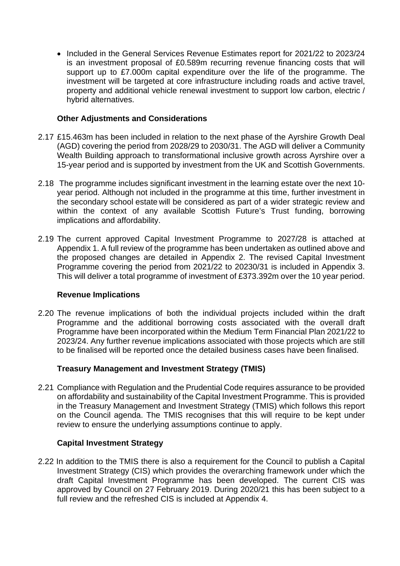• Included in the General Services Revenue Estimates report for 2021/22 to 2023/24 is an investment proposal of £0.589m recurring revenue financing costs that will support up to £7.000m capital expenditure over the life of the programme. The investment will be targeted at core infrastructure including roads and active travel, property and additional vehicle renewal investment to support low carbon, electric / hybrid alternatives.

### **Other Adjustments and Considerations**

- 2.17 £15.463m has been included in relation to the next phase of the Ayrshire Growth Deal (AGD) covering the period from 2028/29 to 2030/31. The AGD will deliver a Community Wealth Building approach to transformational inclusive growth across Ayrshire over a 15-year period and is supported by investment from the UK and Scottish Governments.
- 2.18 The programme includes significant investment in the learning estate over the next 10 year period. Although not included in the programme at this time, further investment in the secondary school estate will be considered as part of a wider strategic review and within the context of any available Scottish Future's Trust funding, borrowing implications and affordability.
- 2.19 The current approved Capital Investment Programme to 2027/28 is attached at Appendix 1. A full review of the programme has been undertaken as outlined above and the proposed changes are detailed in Appendix 2. The revised Capital Investment Programme covering the period from 2021/22 to 20230/31 is included in Appendix 3. This will deliver a total programme of investment of £373.392m over the 10 year period.

### **Revenue Implications**

2.20 The revenue implications of both the individual projects included within the draft Programme and the additional borrowing costs associated with the overall draft Programme have been incorporated within the Medium Term Financial Plan 2021/22 to 2023/24. Any further revenue implications associated with those projects which are still to be finalised will be reported once the detailed business cases have been finalised.

## **Treasury Management and Investment Strategy (TMIS)**

2.21 Compliance with Regulation and the Prudential Code requires assurance to be provided on affordability and sustainability of the Capital Investment Programme. This is provided in the Treasury Management and Investment Strategy (TMIS) which follows this report on the Council agenda. The TMIS recognises that this will require to be kept under review to ensure the underlying assumptions continue to apply.

### **Capital Investment Strategy**

2.22 In addition to the TMIS there is also a requirement for the Council to publish a Capital Investment Strategy (CIS) which provides the overarching framework under which the draft Capital Investment Programme has been developed. The current CIS was approved by Council on 27 February 2019. During 2020/21 this has been subject to a full review and the refreshed CIS is included at Appendix 4.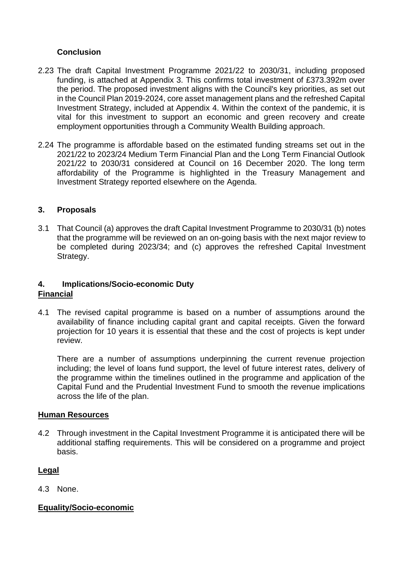## **Conclusion**

- 2.23 The draft Capital Investment Programme 2021/22 to 2030/31, including proposed funding, is attached at Appendix 3. This confirms total investment of £373.392m over the period. The proposed investment aligns with the Council's key priorities, as set out in the Council Plan 2019-2024, core asset management plans and the refreshed Capital Investment Strategy, included at Appendix 4. Within the context of the pandemic, it is vital for this investment to support an economic and green recovery and create employment opportunities through a Community Wealth Building approach.
- 2.24 The programme is affordable based on the estimated funding streams set out in the 2021/22 to 2023/24 Medium Term Financial Plan and the Long Term Financial Outlook 2021/22 to 2030/31 considered at Council on 16 December 2020. The long term affordability of the Programme is highlighted in the Treasury Management and Investment Strategy reported elsewhere on the Agenda.

## **3. Proposals**

3.1 That Council (a) approves the draft Capital Investment Programme to 2030/31 (b) notes that the programme will be reviewed on an on-going basis with the next major review to be completed during 2023/34; and (c) approves the refreshed Capital Investment Strategy.

### **4. Implications/Socio-economic Duty Financial**

4.1 The revised capital programme is based on a number of assumptions around the availability of finance including capital grant and capital receipts. Given the forward projection for 10 years it is essential that these and the cost of projects is kept under review.

There are a number of assumptions underpinning the current revenue projection including; the level of loans fund support, the level of future interest rates, delivery of the programme within the timelines outlined in the programme and application of the Capital Fund and the Prudential Investment Fund to smooth the revenue implications across the life of the plan.

### **Human Resources**

4.2 Through investment in the Capital Investment Programme it is anticipated there will be additional staffing requirements. This will be considered on a programme and project basis.

### **Legal**

4.3 None.

### **Equality/Socio-economic**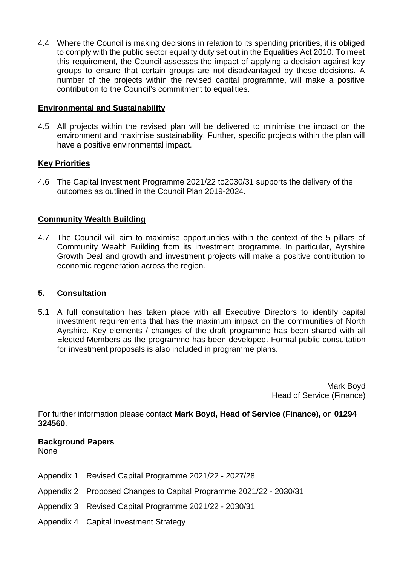4.4 Where the Council is making decisions in relation to its spending priorities, it is obliged to comply with the public sector equality duty set out in the Equalities Act 2010. To meet this requirement, the Council assesses the impact of applying a decision against key groups to ensure that certain groups are not disadvantaged by those decisions. A number of the projects within the revised capital programme, will make a positive contribution to the Council's commitment to equalities.

### **Environmental and Sustainability**

4.5 All projects within the revised plan will be delivered to minimise the impact on the environment and maximise sustainability. Further, specific projects within the plan will have a positive environmental impact.

## **Key Priorities**

4.6 The Capital Investment Programme 2021/22 to2030/31 supports the delivery of the outcomes as outlined in the Council Plan 2019-2024.

## **Community Wealth Building**

4.7 The Council will aim to maximise opportunities within the context of the 5 pillars of Community Wealth Building from its investment programme. In particular, Ayrshire Growth Deal and growth and investment projects will make a positive contribution to economic regeneration across the region.

### **5. Consultation**

5.1 A full consultation has taken place with all Executive Directors to identify capital investment requirements that has the maximum impact on the communities of North Ayrshire. Key elements / changes of the draft programme has been shared with all Elected Members as the programme has been developed. Formal public consultation for investment proposals is also included in programme plans.

> Mark Boyd Head of Service (Finance)

For further information please contact **Mark Boyd, Head of Service (Finance),** on **01294 324560**.

## **Background Papers**

None

- Appendix 1 Revised Capital Programme 2021/22 2027/28
- Appendix 2 Proposed Changes to Capital Programme 2021/22 2030/31
- Appendix 3 Revised Capital Programme 2021/22 2030/31
- Appendix 4 Capital Investment Strategy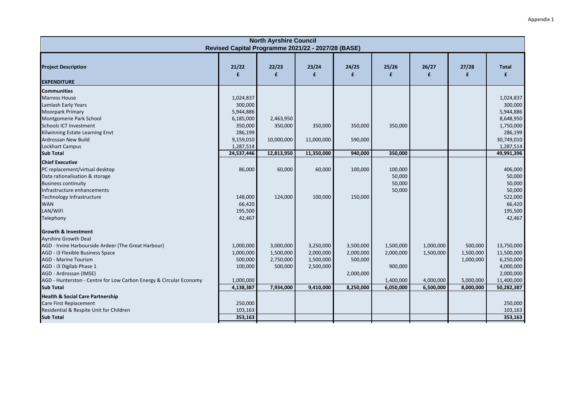|                                                                    |                                                    | <b>North Ayrshire Council</b> |            |                       |            |            |            |                        |
|--------------------------------------------------------------------|----------------------------------------------------|-------------------------------|------------|-----------------------|------------|------------|------------|------------------------|
|                                                                    | Revised Capital Programme 2021/22 - 2027/28 (BASE) |                               |            |                       |            |            |            |                        |
| <b>Project Description</b>                                         | 21/22<br>£                                         | 22/23<br>£                    | 23/24<br>£ | 24/25<br>$\mathbf{f}$ | 25/26<br>£ | 26/27<br>£ | 27/28<br>£ | <b>Total</b><br>£      |
| <b>EXPENDITURE</b>                                                 |                                                    |                               |            |                       |            |            |            |                        |
| <b>Communities</b>                                                 |                                                    |                               |            |                       |            |            |            |                        |
| <b>Marress House</b>                                               | 1,024,837                                          |                               |            |                       |            |            |            | 1,024,837              |
| Lamlash Early Years<br><b>Moorpark Primary</b>                     | 300,000<br>5,944,886                               |                               |            |                       |            |            |            | 300,000<br>5,944,886   |
|                                                                    |                                                    |                               |            |                       |            |            |            |                        |
| Montgomerie Park School<br><b>Schools ICT Investment</b>           | 6,185,000<br>350,000                               | 2,463,950<br>350,000          | 350,000    | 350,000               | 350,000    |            |            | 8,648,950<br>1,750,000 |
|                                                                    | 286,199                                            |                               |            |                       |            |            |            | 286,199                |
| Kilwinning Estate Learning Envt<br>Ardrossan New Build             | 9,159,010                                          | 10,000,000                    | 11,000,000 | 590,000               |            |            |            | 30,749,010             |
| <b>Lockhart Campus</b>                                             | 1,287,514                                          |                               |            |                       |            |            |            | 1,287,514              |
| <b>Sub Total</b>                                                   | 24,537,446                                         | 12,813,950                    | 11,350,000 | 940,000               | 350,000    |            |            | 49,991,396             |
|                                                                    |                                                    |                               |            |                       |            |            |            |                        |
| <b>Chief Executive</b><br>PC replacement/virtual desktop           | 86,000                                             | 60,000                        | 60,000     | 100,000               | 100,000    |            |            | 406,000                |
| Data rationalisation & storage                                     |                                                    |                               |            |                       | 50,000     |            |            | 50,000                 |
| <b>Business continuity</b>                                         |                                                    |                               |            |                       | 50,000     |            |            | 50,000                 |
| Infrastructure enhancements                                        |                                                    |                               |            |                       | 50,000     |            |            | 50,000                 |
| Technology Infrastructure                                          | 148,000                                            | 124,000                       | 100,000    | 150,000               |            |            |            | 522,000                |
| <b>WAN</b>                                                         | 66,420                                             |                               |            |                       |            |            |            | 66,420                 |
| LAN/WiFi                                                           | 195,500                                            |                               |            |                       |            |            |            | 195,500                |
| Telephony                                                          | 42,467                                             |                               |            |                       |            |            |            | 42,467                 |
|                                                                    |                                                    |                               |            |                       |            |            |            |                        |
| <b>Growth &amp; Investment</b>                                     |                                                    |                               |            |                       |            |            |            |                        |
| <b>Ayrshire Growth Deal</b>                                        |                                                    |                               |            |                       |            |            |            |                        |
| AGD - Irvine Harbourside Ardeer (The Great Harbour)                | 1,000,000                                          | 3,000,000                     | 3,250,000  | 3,500,000             | 1,500,000  | 1,000,000  | 500,000    | 13,750,000             |
| AGD - i3 Flexible Business Space                                   | 1,000,000                                          | 1,500,000                     | 2,000,000  | 2,000,000             | 2,000,000  | 1,500,000  | 1,500,000  | 11,500,000             |
| <b>AGD - Marine Tourism</b>                                        | 500,000                                            | 2,750,000                     | 1,500,000  | 500,000               |            |            | 1,000,000  | 6,250,000              |
| AGD - i3 Digilab Phase 1                                           | 100,000                                            | 500,000                       | 2,500,000  |                       | 900,000    |            |            | 4,000,000              |
| AGD - Ardrossan (IMSE)                                             |                                                    |                               |            | 2,000,000             |            |            |            | 2,000,000              |
| AGD - Hunterston - Centre for Low Carbon Energy & Circular Economy | 1,000,000                                          |                               |            |                       | 1,400,000  | 4,000,000  | 5,000,000  | 11,400,000             |
| <b>Sub Total</b>                                                   | 4,138,387                                          | 7,934,000                     | 9,410,000  | 8,250,000             | 6,050,000  | 6,500,000  | 8,000,000  | 50,282,387             |
| <b>Health &amp; Social Care Partnership</b>                        |                                                    |                               |            |                       |            |            |            |                        |
| Care First Replacement                                             | 250,000                                            |                               |            |                       |            |            |            | 250,000                |
| Residential & Respite Unit for Children                            | 103,163                                            |                               |            |                       |            |            |            | 103,163                |
| <b>Sub Total</b>                                                   | 353,163                                            |                               |            |                       |            |            |            | 353,163                |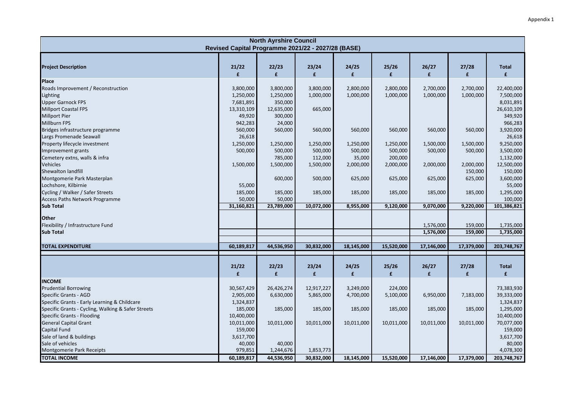|                                                                                                             |                                                    | <b>North Ayrshire Council</b>     |                                 |                                |                                 |                        |                        |                                       |
|-------------------------------------------------------------------------------------------------------------|----------------------------------------------------|-----------------------------------|---------------------------------|--------------------------------|---------------------------------|------------------------|------------------------|---------------------------------------|
|                                                                                                             | Revised Capital Programme 2021/22 - 2027/28 (BASE) |                                   |                                 |                                |                                 |                        |                        |                                       |
| <b>Project Description</b>                                                                                  | 21/22<br>£                                         | 22/23<br>£                        | 23/24<br>£                      | 24/25<br>$\mathbf{f}$          | 25/26<br>£                      | 26/27<br>£             | 27/28<br>£             | <b>Total</b><br>$\mathbf{f}$          |
| Place                                                                                                       |                                                    |                                   |                                 |                                |                                 |                        |                        |                                       |
| Roads Improvement / Reconstruction<br>Lighting<br><b>Upper Garnock FPS</b>                                  | 3,800,000<br>1,250,000<br>7,681,891                | 3,800,000<br>1,250,000<br>350,000 | 3,800,000<br>1,000,000          | 2,800,000<br>1,000,000         | 2,800,000<br>1,000,000          | 2,700,000<br>1,000,000 | 2,700,000<br>1,000,000 | 22,400,000<br>7,500,000<br>8,031,891  |
| <b>Millport Coastal FPS</b><br><b>Millport Pier</b><br><b>Millburn FPS</b>                                  | 13,310,109<br>49,920<br>942,283                    | 12,635,000<br>300,000<br>24,000   | 665,000                         |                                |                                 |                        |                        | 26,610,109<br>349,920<br>966,283      |
| Bridges infrastructure programme<br>Largs Promenade Seawall                                                 | 560,000<br>26,618                                  | 560,000                           | 560,000                         | 560,000                        | 560,000                         | 560,000                | 560,000                | 3,920,000<br>26,618                   |
| Property lifecycle investment<br>Improvement grants<br>Cemetery extns, walls & infra                        | 1,250,000<br>500,000                               | 1,250,000<br>500,000<br>785,000   | 1,250,000<br>500,000<br>112,000 | 1,250,000<br>500,000<br>35,000 | 1,250,000<br>500,000<br>200,000 | 1,500,000<br>500,000   | 1,500,000<br>500,000   | 9,250,000<br>3,500,000<br>1,132,000   |
| Vehicles<br>Shewalton landfill                                                                              | 1,500,000                                          | 1,500,000                         | 1,500,000                       | 2,000,000                      | 2,000,000                       | 2,000,000              | 2,000,000<br>150,000   | 12,500,000<br>150,000                 |
| Montgomerie Park Masterplan<br>Lochshore, Kilbirnie<br>Cycling / Walker / Safer Streets                     | 55,000<br>185,000                                  | 600,000<br>185,000                | 500,000<br>185,000              | 625,000<br>185,000             | 625,000<br>185,000              | 625,000<br>185,000     | 625,000<br>185,000     | 3,600,000<br>55,000<br>1,295,000      |
| <b>Access Paths Network Programme</b>                                                                       | 50,000                                             | 50,000                            |                                 |                                |                                 |                        |                        | 100,000                               |
| <b>Sub Total</b>                                                                                            | 31,160,821                                         | 23,789,000                        | 10,072,000                      | 8,955,000                      | 9,120,000                       | 9,070,000              | 9,220,000              | 101,386,821                           |
| <b>Other</b><br>Flexibility / Infrastructure Fund                                                           |                                                    |                                   |                                 |                                |                                 | 1,576,000              | 159,000                | 1,735,000                             |
| <b>Sub Total</b>                                                                                            |                                                    |                                   |                                 |                                |                                 | 1,576,000              | 159,000                | 1,735,000                             |
| <b>TOTAL EXPENDITURE</b>                                                                                    | 60,189,817                                         | 44,536,950                        | 30,832,000                      | 18,145,000                     | 15,520,000                      | 17,146,000             | 17,379,000             | 203,748,767                           |
|                                                                                                             |                                                    |                                   |                                 |                                |                                 |                        |                        |                                       |
|                                                                                                             | 21/22<br>£                                         | 22/23<br>$\mathbf{f}$             | 23/24<br>$\mathbf{f}$           | 24/25<br>$\mathbf{f}$          | 25/26<br>£                      | 26/27<br>£             | 27/28<br>£             | <b>Total</b><br>$\mathbf{f}$          |
| <b>INCOME</b>                                                                                               |                                                    |                                   |                                 |                                |                                 |                        |                        |                                       |
| <b>Prudential Borrowing</b><br><b>Specific Grants - AGD</b><br>Specific Grants - Early Learning & Childcare | 30,567,429<br>2,905,000<br>1,324,837               | 26,426,274<br>6,630,000           | 12,917,227<br>5,865,000         | 3,249,000<br>4,700,000         | 224,000<br>5,100,000            | 6,950,000              | 7,183,000              | 73,383,930<br>39,333,000<br>1,324,837 |
| Specific Grants - Cycling, Walking & Safer Streets<br><b>Specific Grants - Flooding</b>                     | 185,000<br>10,400,000                              | 185,000                           | 185,000                         | 185,000                        | 185,000                         | 185,000                | 185,000                | 1,295,000<br>10,400,000               |
| <b>General Capital Grant</b><br>Capital Fund<br>Sale of land & buildings                                    | 10,011,000<br>159,000                              | 10,011,000                        | 10,011,000                      | 10,011,000                     | 10,011,000                      | 10,011,000             | 10,011,000             | 70,077,000<br>159,000                 |
| Sale of vehicles<br>Montgomerie Park Receipts                                                               | 3,617,700<br>40,000<br>979,851                     | 40,000<br>1,244,676               | 1,853,773                       |                                |                                 |                        |                        | 3,617,700<br>80,000<br>4,078,300      |
| <b>TOTAL INCOME</b>                                                                                         | 60,189,817                                         | 44,536,950                        | 30,832,000                      | 18,145,000                     | 15,520,000                      | 17,146,000             | 17,379,000             | 203,748,767                           |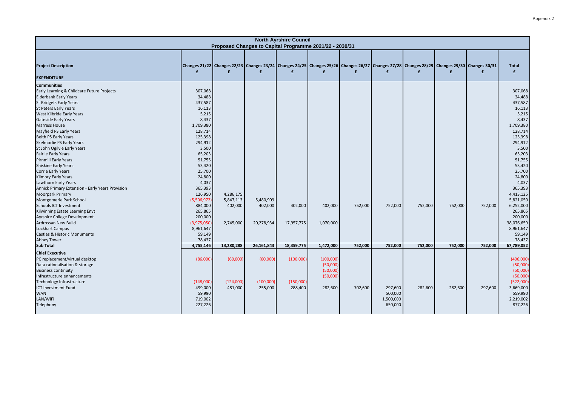|                                                                                                                                                                                                                                                                                                                                                                                                                                                                                                                                                                                                                                                                                                                                                                                                                                                                                  |                                                                                                                                                                                                                                                                                                               |                                                              | Proposed Changes to Capital Programme 2021/22 - 2030/31 | <b>North Ayrshire Council</b>       |                                                          |                    |                                            |                    |                    |                                                                                                                                                  |                                                                                                                                                                                                                                                                                                                 |
|----------------------------------------------------------------------------------------------------------------------------------------------------------------------------------------------------------------------------------------------------------------------------------------------------------------------------------------------------------------------------------------------------------------------------------------------------------------------------------------------------------------------------------------------------------------------------------------------------------------------------------------------------------------------------------------------------------------------------------------------------------------------------------------------------------------------------------------------------------------------------------|---------------------------------------------------------------------------------------------------------------------------------------------------------------------------------------------------------------------------------------------------------------------------------------------------------------|--------------------------------------------------------------|---------------------------------------------------------|-------------------------------------|----------------------------------------------------------|--------------------|--------------------------------------------|--------------------|--------------------|--------------------------------------------------------------------------------------------------------------------------------------------------|-----------------------------------------------------------------------------------------------------------------------------------------------------------------------------------------------------------------------------------------------------------------------------------------------------------------|
| <b>Project Description</b><br><b>EXPENDITURE</b>                                                                                                                                                                                                                                                                                                                                                                                                                                                                                                                                                                                                                                                                                                                                                                                                                                 | £                                                                                                                                                                                                                                                                                                             | £                                                            | £                                                       | £                                   | £                                                        | £                  | $\mathbf{f}$                               | £                  | £                  | Changes 21/22 Changes 22/23 Changes 23/24 Changes 24/25 Changes 25/26 Changes 26/27 Changes 27/28 Changes 28/29 Changes 29/30 Changes 30/31<br>£ | <b>Total</b><br>£                                                                                                                                                                                                                                                                                               |
| <b>Communities</b><br>Early Learning & Childcare Future Projects<br><b>Elderbank Early Years</b><br><b>St Bridgets Early Years</b><br><b>St Peters Early Years</b><br>West Kilbride Early Years<br><b>Gateside Early Years</b><br><b>Marress House</b><br>Mayfield PS Early Years<br><b>Beith PS Early Years</b><br>Skelmorlie PS Early Years<br>St John Ogilvie Early Years<br><b>Fairlie Early Years</b><br><b>Pirnmill Early Years</b><br><b>Shiskine Early Years</b><br><b>Corrie Early Years</b><br><b>Kilmory Early Years</b><br><b>Lawthorn Early Years</b><br>Annick Primary Extension - Early Years Provision<br><b>Moorpark Primary</b><br>Montgomerie Park School<br><b>Schools ICT Investment</b><br>Kilwinning Estate Learning Envt<br>Ayrshire College Development<br>Ardrossan New Build<br>Lockhart Campus<br>Castles & Historic Monuments<br><b>Abbey Tower</b> | 307,068<br>34,488<br>437,587<br>16,113<br>5,215<br>8,437<br>1,709,380<br>128,714<br>125,398<br>294,912<br>3,500<br>65,203<br>51,755<br>53,420<br>25,700<br>24,800<br>4,037<br>365,393<br>126,950<br>(5,506,972)<br>884,000<br>265,865<br>200,000<br>(3,975,050)<br>8,961,647<br>59,149<br>78,437<br>4,755,146 | 4,286,175<br>5,847,113<br>402,000<br>2,745,000<br>13,280,288 | 5,480,909<br>402,000<br>20,278,934<br>26,161,843        | 402,000<br>17,957,775<br>18,359,775 | 402,000<br>1,070,000<br>1,472,000                        | 752,000<br>752,000 | 752,000                                    | 752,000<br>752,000 | 752,000<br>752,000 | 752,000<br>752,000                                                                                                                               | 307,068<br>34,488<br>437,587<br>16,113<br>5,215<br>8,437<br>1,709,380<br>128,714<br>125,398<br>294,912<br>3,500<br>65,203<br>51,755<br>53,420<br>25,700<br>24,800<br>4,037<br>365,393<br>4,413,125<br>5,821,050<br>6,252,000<br>265,865<br>200,000<br>38,076,659<br>8,961,647<br>59,149<br>78,437<br>67,789,052 |
| <b>Sub Total</b>                                                                                                                                                                                                                                                                                                                                                                                                                                                                                                                                                                                                                                                                                                                                                                                                                                                                 |                                                                                                                                                                                                                                                                                                               |                                                              |                                                         |                                     |                                                          |                    | 752,000                                    |                    |                    |                                                                                                                                                  |                                                                                                                                                                                                                                                                                                                 |
| <b>Chief Executive</b><br>PC replacement/virtual desktop<br>Data rationalisation & storage<br><b>Business continuity</b><br>Infrastructure enhancements<br>Technology Infrastructure<br><b>ICT Investment Fund</b><br><b>WAN</b><br>LAN/WiFi<br>Telephony                                                                                                                                                                                                                                                                                                                                                                                                                                                                                                                                                                                                                        | (86,000)<br>(148,000)<br>499,000<br>59,990<br>719,002<br>227,226                                                                                                                                                                                                                                              | (60,000)<br>(124,000)<br>481,000                             | (60,000)<br>(100,000)<br>255,000                        | (100,000)<br>(150,000)<br>288,400   | (100,000)<br>(50,000)<br>(50,000)<br>(50,000)<br>282,600 | 702,600            | 297,600<br>500,000<br>1,500,000<br>650,000 | 282,600            | 282,600            | 297,600                                                                                                                                          | (406,000)<br>(50,000)<br>(50,000)<br>(50,000)<br>(522,000)<br>3,669,000<br>559,990<br>2,219,002<br>877,226                                                                                                                                                                                                      |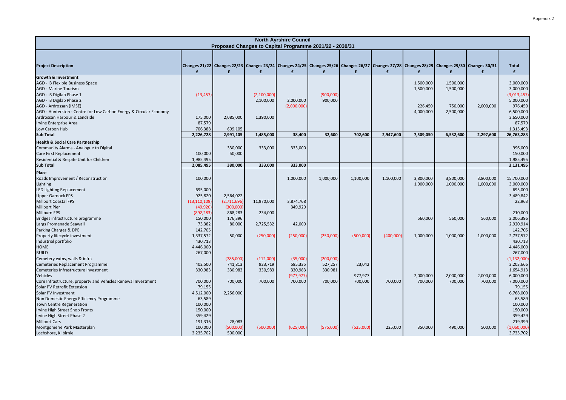|                                                                    |                    |             | Proposed Changes to Capital Programme 2021/22 - 2030/31 | <b>North Ayrshire Council</b> |                      |           |           |           |           |                                                                                                                                                             |                              |
|--------------------------------------------------------------------|--------------------|-------------|---------------------------------------------------------|-------------------------------|----------------------|-----------|-----------|-----------|-----------|-------------------------------------------------------------------------------------------------------------------------------------------------------------|------------------------------|
|                                                                    |                    |             |                                                         |                               |                      |           |           |           |           |                                                                                                                                                             |                              |
| <b>Project Description</b>                                         | $\mathbf{f}$       | £           | £                                                       | £                             | £                    | £         | £         | £         | £         | Changes 21/22 Changes 22/23 Changes 23/24 Changes 24/25 Changes 25/26 Changes 26/27 Changes 27/28 Changes 28/29 Changes 29/30 Changes 30/31<br>$\mathbf{f}$ | <b>Total</b><br>$\mathbf{f}$ |
| <b>Growth &amp; Investment</b>                                     |                    |             |                                                         |                               |                      |           |           |           |           |                                                                                                                                                             |                              |
| AGD - i3 Flexible Business Space                                   |                    |             |                                                         |                               |                      |           |           | 1,500,000 | 1,500,000 |                                                                                                                                                             | 3,000,000                    |
| <b>AGD - Marine Tourism</b>                                        |                    |             |                                                         |                               |                      |           |           | 1,500,000 | 1,500,000 |                                                                                                                                                             | 3,000,000                    |
| AGD - i3 Digilab Phase 1<br>AGD - i3 Digilab Phase 2               | (13, 457)          |             | (2,100,000)<br>2,100,000                                | 2,000,000                     | (900,000)<br>900,000 |           |           |           |           |                                                                                                                                                             | (3,013,457)<br>5,000,000     |
| AGD - Ardrossan (IMSE)                                             |                    |             |                                                         | (2,000,000)                   |                      |           |           | 226,450   | 750,000   | 2,000,000                                                                                                                                                   | 976,450                      |
| AGD - Hunterston - Centre for Low Carbon Energy & Circular Economy |                    |             |                                                         |                               |                      |           |           | 4,000,000 | 2,500,000 |                                                                                                                                                             | 6,500,000                    |
| Ardrossan Harbour & Landside                                       | 175,000            | 2,085,000   | 1,390,000                                               |                               |                      |           |           |           |           |                                                                                                                                                             | 3,650,000                    |
| Irvine Enterprise Area                                             | 87,579             |             |                                                         |                               |                      |           |           |           |           |                                                                                                                                                             | 87,579                       |
| Low Carbon Hub                                                     | 706,388            | 609,105     |                                                         |                               |                      |           |           |           |           |                                                                                                                                                             | 1,315,493                    |
| <b>Sub Total</b>                                                   | 2,226,728          | 2,991,105   | 1,485,000                                               | 38,400                        | 32,600               | 702,600   | 2,947,600 | 7,509,050 | 6,532,600 | 2,297,600                                                                                                                                                   | 26,763,283                   |
| <b>Health &amp; Social Care Partnership</b>                        |                    |             |                                                         |                               |                      |           |           |           |           |                                                                                                                                                             |                              |
| Community Alarms - Analogue to Digital                             |                    | 330,000     | 333,000                                                 | 333,000                       |                      |           |           |           |           |                                                                                                                                                             | 996,000                      |
| Care First Replacement                                             | 100,000            | 50,000      |                                                         |                               |                      |           |           |           |           |                                                                                                                                                             | 150,000                      |
| Residential & Respite Unit for Children                            | 1,985,495          |             |                                                         |                               |                      |           |           |           |           |                                                                                                                                                             | 1,985,495                    |
| <b>Sub Total</b>                                                   | 2,085,495          | 380,000     | 333,000                                                 | 333,000                       |                      |           |           |           |           |                                                                                                                                                             | 3,131,495                    |
| Place                                                              |                    |             |                                                         |                               |                      |           |           |           |           |                                                                                                                                                             |                              |
| Roads Improvement / Reconstruction                                 | 100,000            |             |                                                         | 1,000,000                     | 1,000,000            | 1,100,000 | 1,100,000 | 3,800,000 | 3,800,000 | 3,800,000                                                                                                                                                   | 15,700,000                   |
| Lighting                                                           |                    |             |                                                         |                               |                      |           |           | 1,000,000 | 1,000,000 | 1,000,000                                                                                                                                                   | 3,000,000                    |
| LED Lighting Replacement                                           | 695,000            |             |                                                         |                               |                      |           |           |           |           |                                                                                                                                                             | 695,000                      |
| <b>Upper Garnock FPS</b>                                           | 925,820            | 2,564,022   |                                                         |                               |                      |           |           |           |           |                                                                                                                                                             | 3,489,842                    |
| <b>Millport Coastal FPS</b>                                        | (13, 110, 109)     | (2,711,696) | 11,970,000                                              | 3,874,768                     |                      |           |           |           |           |                                                                                                                                                             | 22,963                       |
| <b>Millport Pier</b>                                               | (49, 920)          | (300,000)   |                                                         | 349,920                       |                      |           |           |           |           |                                                                                                                                                             |                              |
| Millburn FPS                                                       | (892, 283)         | 868,283     | 234,000                                                 |                               |                      |           |           |           |           |                                                                                                                                                             | 210,000                      |
| Bridges infrastructure programme                                   | 150,000<br>73,382  | 176,396     |                                                         |                               |                      |           |           | 560,000   | 560,000   | 560,000                                                                                                                                                     | 2,006,396                    |
| Largs Promenade Seawall<br>Parking Charges & DPE                   | 142,705            | 80,000      | 2,725,532                                               | 42,000                        |                      |           |           |           |           |                                                                                                                                                             | 2,920,914<br>142,705         |
| Property lifecycle investment                                      | 1,337,572          | 50,000      | (250,000)                                               | (250,000)                     | (250,000)            | (500,000) | (400,000) | 1,000,000 | 1,000,000 | 1,000,000                                                                                                                                                   | 2,737,572                    |
| Industrial portfolio                                               | 430,713            |             |                                                         |                               |                      |           |           |           |           |                                                                                                                                                             | 430,713                      |
| <b>HOME</b>                                                        | 4,446,000          |             |                                                         |                               |                      |           |           |           |           |                                                                                                                                                             | 4,446,000                    |
| <b>BUILD</b>                                                       | 267,000            |             |                                                         |                               |                      |           |           |           |           |                                                                                                                                                             | 267,000                      |
| Cemetery extns, walls & infra                                      |                    | (785,000)   | (112,000)                                               | (35,000)                      | (200,000)            |           |           |           |           |                                                                                                                                                             | (1, 132, 000)                |
| Cemeteries Replacement Programme                                   | 402,500            | 741,813     | 923,719                                                 | 585,335                       | 527,257              | 23,042    |           |           |           |                                                                                                                                                             | 3,203,666                    |
| Cemeteries Infrastructure Investment                               | 330,983            | 330,983     | 330,983                                                 | 330,983                       | 330,981              |           |           |           |           |                                                                                                                                                             | 1,654,913                    |
| Vehicles                                                           |                    |             |                                                         | (977, 977)                    |                      | 977,977   |           | 2,000,000 | 2,000,000 | 2,000,000                                                                                                                                                   | 6,000,000                    |
| Core Infrastructure, property and Vehicles Renewal Investment      | 700,000            | 700,000     | 700,000                                                 | 700,000                       | 700,000              | 700,000   | 700,000   | 700,000   | 700,000   | 700,000                                                                                                                                                     | 7,000,000                    |
| Solar PV Retrofit Extension                                        | 79,155             |             |                                                         |                               |                      |           |           |           |           |                                                                                                                                                             | 79,155                       |
| Solar PV Investment                                                | 4,512,000          | 2,256,000   |                                                         |                               |                      |           |           |           |           |                                                                                                                                                             | 6,768,000                    |
| Non Domestic Energy Efficiency Programme                           | 63,589             |             |                                                         |                               |                      |           |           |           |           |                                                                                                                                                             | 63,589                       |
| Town Centre Regeneration                                           | 100,000            |             |                                                         |                               |                      |           |           |           |           |                                                                                                                                                             | 100,000                      |
| Irvine High Street Shop Fronts<br>Irvine High Street Phase 2       | 150,000<br>359,429 |             |                                                         |                               |                      |           |           |           |           |                                                                                                                                                             | 150,000<br>359,429           |
| <b>Millport Cars</b>                                               | 191,316            | 28,083      |                                                         |                               |                      |           |           |           |           |                                                                                                                                                             | 219,399                      |
| Montgomerie Park Masterplan                                        | 100,000            | (500,000)   | (500,000)                                               | (625,000)                     | (575,000)            | (525,000) | 225,000   | 350,000   | 490,000   | 500,000                                                                                                                                                     | (1,060,000)                  |
| Lochshore, Kilbirnie                                               | 3,235,702          | 500,000     |                                                         |                               |                      |           |           |           |           |                                                                                                                                                             | 3,735,702                    |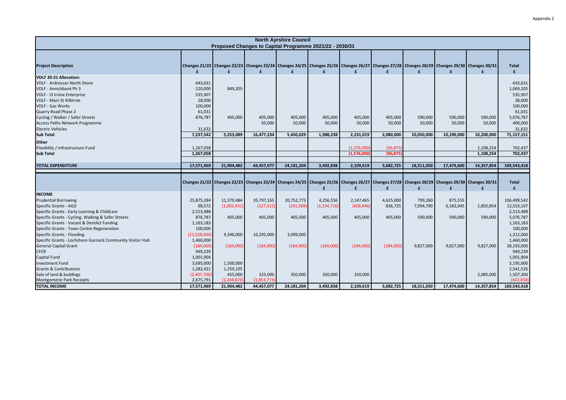|                                                                                                                                                                                                 |                                                    |                                   |                           | <b>North Ayrshire Council</b> |                                                         |                            |                        |                      |                      |                                                                                                                                                  |                                                      |
|-------------------------------------------------------------------------------------------------------------------------------------------------------------------------------------------------|----------------------------------------------------|-----------------------------------|---------------------------|-------------------------------|---------------------------------------------------------|----------------------------|------------------------|----------------------|----------------------|--------------------------------------------------------------------------------------------------------------------------------------------------|------------------------------------------------------|
|                                                                                                                                                                                                 |                                                    |                                   |                           |                               | Proposed Changes to Capital Programme 2021/22 - 2030/31 |                            |                        |                      |                      |                                                                                                                                                  |                                                      |
| <b>Project Description</b>                                                                                                                                                                      | £                                                  | £                                 | £                         | £                             | £                                                       | £                          | £                      | £                    | £                    | Changes 21/22 Changes 22/23 Changes 23/24 Changes 24/25 Changes 25/26 Changes 26/27 Changes 27/28 Changes 28/29 Changes 29/30 Changes 30/31<br>f | <b>Total</b><br>£                                    |
| <b>VDLF 20-21 Allocation:</b><br><b>VDLF - Ardrossan North Shore</b><br>VDLF - Annickbank Ph 3<br>VDLF - I3 Irvine Enterprise<br><b>VDLF - Main St Kilbirnie</b><br><b>VDLF - Gas Works</b>     | 643,631<br>220,000<br>535,907<br>28,000<br>100,000 | 849,205                           |                           |                               |                                                         |                            |                        |                      |                      |                                                                                                                                                  | 643,631<br>1,069,205<br>535,907<br>28,000<br>100,000 |
| Quarry Road Phase 2<br>Cycling / Walker / Safer Streets<br>Access Paths Network Programme<br><b>Electric Vehicles</b>                                                                           | 61,031<br>876,787<br>31,632                        | 405,000                           | 405,000<br>50,000         | 405,000<br>50,000             | 405,000<br>50,000                                       | 405,000<br>50,000          | 405,000<br>50,000      | 590,000<br>50,000    | 590,000<br>50,000    | 590,000<br>50,000                                                                                                                                | 61,031<br>5,076,787<br>400,000<br>31,632             |
| <b>Sub Total</b>                                                                                                                                                                                | 7,237,542                                          | 5,253,089                         | 16,477,234                | 5,450,029                     | 1,988,238                                               | 2,231,019                  | 2,080,000              | 10,050,000           | 10,190,000           | 10,200,000                                                                                                                                       | 71,157,151                                           |
| Other<br>Flexibility / Infrastructure Fund<br><b>Sub Total</b>                                                                                                                                  | 1,267,058<br>1,267,058                             |                                   |                           |                               |                                                         | (1,576,000)<br>(1,576,000) | (96, 875)<br>(96, 875) |                      |                      | 1,108,254<br>1,108,254                                                                                                                           | 702,437<br>702,437                                   |
| <b>TOTAL EXPENDITURE</b>                                                                                                                                                                        | 17,571,969                                         | 21,904,482                        | 44,457,077                | 24,181,204                    | 3,492,838                                               | 2,109,619                  | 5,682,725              | 18,311,050           | 17,474,600           | 14,357,854                                                                                                                                       | 169,543,418                                          |
|                                                                                                                                                                                                 |                                                    |                                   |                           |                               | £                                                       | £                          | £                      | £                    | £                    | Changes 21/22 Changes 22/23 Changes 23/24 Changes 24/25 Changes 25/26 Changes 26/27 Changes 27/28 Changes 28/29 Changes 29/30 Changes 30/31<br>£ | <b>Total</b><br>£                                    |
| <b>INCOME</b><br><b>Prudential Borrowing</b><br>Specific Grants - AGD                                                                                                                           | 25,875,284<br>98,572                               | 11,370,484<br>(1,002,431)         | 35,797,165<br>(327, 315)  | 20,752,773<br>(241, 569)      | 4,256,556<br>(1, 334, 718)                              | 2,147,465<br>(608, 846)    | 4,625,000<br>836,725   | 799,260<br>7,094,790 | 875,555<br>6,182,045 | 1,855,854                                                                                                                                        | 106,499,542<br>12,553,107                            |
| Specific Grants - Early Learning & Childcare<br>Specific Grants - Cycling, Walking & Safer Streets<br>Specific Grants - Vacant & Derelict Funding<br>Specific Grants - Town Centre Regeneration | 2,513,488<br>876,787<br>1,163,183<br>100,000       | 405,000                           | 405,000                   | 405,000                       | 405,000                                                 | 405,000                    | 405,000                | 590,000              | 590,000              | 590,000                                                                                                                                          | 2,513,488<br>5,076,787<br>1,163,183<br>100,000       |
| Specific Grants - Flooding<br>Specific Grants - Lochshore Garnock Community Visitor Hub<br><b>General Capital Grant</b><br><b>CFCR</b>                                                          | (21,528,000)<br>1,460,000<br>(184,000)<br>949,239  | 9,346,000<br>(184,000)            | 10,295,000<br>(184,000)   | 3,099,000<br>(184,000)        | (184,000)                                               | (184,000)                  | (184,000)              | 9,827,000            | 9,827,000            | 9,827,000                                                                                                                                        | 1,212,000<br>1,460,000<br>28,193,000<br>949,239      |
| <b>Capital Fund</b><br><b>Investment Fund</b><br><b>Grants &amp; Contributions</b><br>Sale of land & buildings                                                                                  | 1,001,904<br>3,695,000<br>1,282,421<br>(2,407,700) | 1,500,000<br>1,259,105<br>455,000 | 325,000                   | 350,000                       | 350,000                                                 | 350,000                    |                        |                      |                      | 2,085,000                                                                                                                                        | 1,001,904<br>5,195,000<br>2,541,526<br>1,507,300     |
| Montgomerie Park Receipts<br><b>TOTAL INCOME</b>                                                                                                                                                | 2,675,791<br>17,571,969                            | (1, 244, 676)<br>21,904,482       | (1,853,773)<br>44,457,077 | 24,181,204                    | 3,492,838                                               | 2,109,619                  | 5,682,725              | 18,311,050           | 17,474,600           | 14,357,854                                                                                                                                       | (422, 658)<br>169,543,418                            |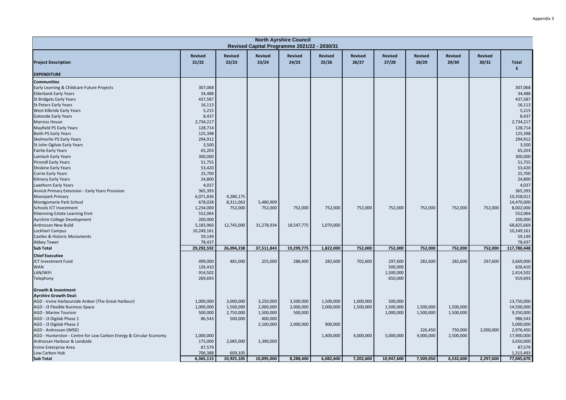|                                                                    |                         |                         |                         | <b>North Ayrshire Council</b><br>Revised Capital Programme 2021/22 - 2030/31 |                  |                         |                         |                         |                         |                         |                              |
|--------------------------------------------------------------------|-------------------------|-------------------------|-------------------------|------------------------------------------------------------------------------|------------------|-------------------------|-------------------------|-------------------------|-------------------------|-------------------------|------------------------------|
| <b>Project Description</b>                                         | <b>Revised</b><br>21/22 | <b>Revised</b><br>22/23 | <b>Revised</b><br>23/24 | <b>Revised</b><br>24/25                                                      | Revised<br>25/26 | <b>Revised</b><br>26/27 | <b>Revised</b><br>27/28 | <b>Revised</b><br>28/29 | <b>Revised</b><br>29/30 | <b>Revised</b><br>30/31 | <b>Total</b><br>$\mathbf{f}$ |
| <b>EXPENDITURE</b>                                                 |                         |                         |                         |                                                                              |                  |                         |                         |                         |                         |                         |                              |
| <b>Communities</b>                                                 |                         |                         |                         |                                                                              |                  |                         |                         |                         |                         |                         |                              |
| Early Learning & Childcare Future Projects                         | 307,068                 |                         |                         |                                                                              |                  |                         |                         |                         |                         |                         | 307,068                      |
| <b>Elderbank Early Years</b>                                       | 34,488                  |                         |                         |                                                                              |                  |                         |                         |                         |                         |                         | 34,488                       |
| <b>St Bridgets Early Years</b>                                     | 437,587                 |                         |                         |                                                                              |                  |                         |                         |                         |                         |                         | 437,587                      |
| <b>St Peters Early Years</b>                                       | 16,113                  |                         |                         |                                                                              |                  |                         |                         |                         |                         |                         | 16,113                       |
| West Kilbride Early Years                                          | 5,215                   |                         |                         |                                                                              |                  |                         |                         |                         |                         |                         | 5,215                        |
| <b>Gateside Early Years</b>                                        | 8,437                   |                         |                         |                                                                              |                  |                         |                         |                         |                         |                         | 8,437                        |
| <b>Marress House</b>                                               | 2,734,217               |                         |                         |                                                                              |                  |                         |                         |                         |                         |                         | 2,734,217                    |
| Mayfield PS Early Years                                            | 128,714                 |                         |                         |                                                                              |                  |                         |                         |                         |                         |                         | 128,714                      |
| <b>Beith PS Early Years</b>                                        | 125,398                 |                         |                         |                                                                              |                  |                         |                         |                         |                         |                         | 125,398                      |
| Skelmorlie PS Early Years                                          | 294,912                 |                         |                         |                                                                              |                  |                         |                         |                         |                         |                         | 294,912                      |
| St John Ogilvie Early Years                                        | 3,500                   |                         |                         |                                                                              |                  |                         |                         |                         |                         |                         | 3,500                        |
| <b>Fairlie Early Years</b>                                         | 65,203                  |                         |                         |                                                                              |                  |                         |                         |                         |                         |                         | 65,203                       |
| Lamlash Early Years                                                | 300,000                 |                         |                         |                                                                              |                  |                         |                         |                         |                         |                         | 300,000                      |
| <b>Pirnmill Early Years</b>                                        | 51,755                  |                         |                         |                                                                              |                  |                         |                         |                         |                         |                         | 51,755                       |
| <b>Shiskine Early Years</b>                                        | 53,420                  |                         |                         |                                                                              |                  |                         |                         |                         |                         |                         | 53,420                       |
| <b>Corrie Early Years</b><br><b>Kilmory Early Years</b>            | 25,700<br>24,800        |                         |                         |                                                                              |                  |                         |                         |                         |                         |                         | 25,700<br>24,800             |
| Lawthorn Early Years                                               | 4,037                   |                         |                         |                                                                              |                  |                         |                         |                         |                         |                         | 4,037                        |
| Annick Primary Extension - Early Years Provision                   | 365,393                 |                         |                         |                                                                              |                  |                         |                         |                         |                         |                         | 365,393                      |
| <b>Moorpark Primary</b>                                            | 6,071,836               | 4,286,175               |                         |                                                                              |                  |                         |                         |                         |                         |                         | 10,358,011                   |
| Montgomerie Park School                                            | 678,028                 | 8,311,063               | 5,480,909               |                                                                              |                  |                         |                         |                         |                         |                         | 14,470,000                   |
| Schools ICT Investment                                             | 1,234,000               | 752,000                 | 752,000                 | 752,000                                                                      | 752,000          | 752,000                 | 752,000                 | 752,000                 | 752,000                 | 752,000                 | 8,002,000                    |
| Kilwinning Estate Learning Envt                                    | 552,064                 |                         |                         |                                                                              |                  |                         |                         |                         |                         |                         | 552,064                      |
| Ayrshire College Development                                       | 200,000                 |                         |                         |                                                                              |                  |                         |                         |                         |                         |                         | 200,000                      |
| Ardrossan New Build                                                | 5,183,960               | 12,745,000              | 31,278,934              | 18,547,775                                                                   | 1,070,000        |                         |                         |                         |                         |                         | 68,825,669                   |
| Lockhart Campus                                                    | 10,249,161              |                         |                         |                                                                              |                  |                         |                         |                         |                         |                         | 10,249,161                   |
| Castles & Historic Monuments                                       | 59,149                  |                         |                         |                                                                              |                  |                         |                         |                         |                         |                         | 59,149                       |
| Abbey Tower                                                        | 78,437                  |                         |                         |                                                                              |                  |                         |                         |                         |                         |                         | 78,437                       |
| <b>Sub Total</b>                                                   | 29,292,592              | 26,094,238              | 37,511,843              | 19,299,775                                                                   | 1,822,000        | 752,000                 | 752,000                 | 752,000                 | 752,000                 | 752,000                 | 117,780,448                  |
|                                                                    |                         |                         |                         |                                                                              |                  |                         |                         |                         |                         |                         |                              |
| <b>Chief Executive</b>                                             |                         |                         |                         |                                                                              |                  |                         |                         |                         |                         |                         |                              |
| <b>ICT Investment Fund</b>                                         | 499.000                 | 481,000                 | 255,000                 | 288,400                                                                      | 282,600          | 702,600                 | 297,600                 | 282,600                 | 282,600                 | 297,600                 | 3,669,000                    |
| <b>WAN</b>                                                         | 126,410                 |                         |                         |                                                                              |                  |                         | 500,000                 |                         |                         |                         | 626,410                      |
| LAN/WiFi                                                           | 914,502                 |                         |                         |                                                                              |                  |                         | 1,500,000               |                         |                         |                         | 2,414,502                    |
| Telephony                                                          | 269,693                 |                         |                         |                                                                              |                  |                         | 650,000                 |                         |                         |                         | 919,693                      |
| <b>Growth &amp; Investment</b>                                     |                         |                         |                         |                                                                              |                  |                         |                         |                         |                         |                         |                              |
| <b>Ayrshire Growth Deal:</b>                                       |                         |                         |                         |                                                                              |                  |                         |                         |                         |                         |                         |                              |
| AGD - Irvine Harbourside Ardeer (The Great Harbour)                | 1,000,000               | 3,000,000               | 3,250,000               | 3,500,000                                                                    | 1,500,000        | 1,000,000               | 500,000                 |                         |                         |                         | 13,750,000                   |
| AGD - i3 Flexible Business Space                                   | 1,000,000               | 1,500,000               | 2,000,000               | 2,000,000                                                                    | 2,000,000        | 1,500,000               | 1,500,000               | 1,500,000               | 1,500,000               |                         | 14,500,000                   |
| <b>AGD - Marine Tourism</b>                                        | 500,000                 | 2,750,000               | 1,500,000               | 500,000                                                                      |                  |                         | 1,000,000               | 1,500,000               | 1,500,000               |                         | 9,250,000                    |
| AGD - i3 Digilab Phase 1                                           | 86,543                  | 500,000                 | 400,000                 |                                                                              |                  |                         |                         |                         |                         |                         | 986,543                      |
| AGD - i3 Digilab Phase 2                                           |                         |                         | 2,100,000               | 2,000,000                                                                    | 900,000          |                         |                         |                         |                         |                         | 5,000,000                    |
| AGD - Ardrossan (IMSE)                                             |                         |                         |                         |                                                                              |                  |                         |                         | 226,450                 | 750,000                 | 2,000,000               | 2,976,450                    |
| AGD - Hunterston - Centre for Low Carbon Energy & Circular Economy | 1,000,000               |                         |                         |                                                                              | 1,400,000        | 4,000,000               | 5,000,000               | 4,000,000               | 2,500,000               |                         | 17,900,000                   |
| Ardrossan Harbour & Landside                                       | 175,000                 | 2,085,000               | 1,390,000               |                                                                              |                  |                         |                         |                         |                         |                         | 3,650,000                    |
| Irvine Enterprise Area                                             | 87,579                  |                         |                         |                                                                              |                  |                         |                         |                         |                         |                         | 87,579                       |
| Low Carbon Hub                                                     | 706,388                 | 609,105                 | 10,895,000              | 8,288,400                                                                    |                  |                         | 10,947,600              |                         |                         |                         | 1,315,493                    |
| <b>Sub Total</b>                                                   | 6,365,115               | 10,925,105              |                         |                                                                              | 6,082,600        | 7,202,600               |                         | 7,509,050               | 6,532,600               | 2,297,600               | 77,045,670                   |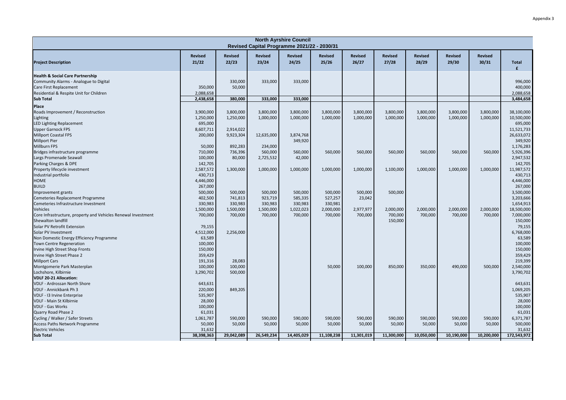|                                                                  |                         |                         |                         | <b>North Ayrshire Council</b><br>Revised Capital Programme 2021/22 - 2030/31 |                         |                         |                         |                         |                         |                         |                    |
|------------------------------------------------------------------|-------------------------|-------------------------|-------------------------|------------------------------------------------------------------------------|-------------------------|-------------------------|-------------------------|-------------------------|-------------------------|-------------------------|--------------------|
| <b>Project Description</b>                                       | <b>Revised</b><br>21/22 | <b>Revised</b><br>22/23 | <b>Revised</b><br>23/24 | Revised<br>24/25                                                             | <b>Revised</b><br>25/26 | <b>Revised</b><br>26/27 | <b>Revised</b><br>27/28 | <b>Revised</b><br>28/29 | <b>Revised</b><br>29/30 | <b>Revised</b><br>30/31 | <b>Total</b><br>f  |
| <b>Health &amp; Social Care Partnership</b>                      |                         | 330,000                 |                         | 333,000                                                                      |                         |                         |                         |                         |                         |                         |                    |
| Community Alarms - Analogue to Digital<br>Care First Replacement | 350,000                 | 50,000                  | 333,000                 |                                                                              |                         |                         |                         |                         |                         |                         | 996,000<br>400,000 |
| Residential & Respite Unit for Children                          | 2,088,658               |                         |                         |                                                                              |                         |                         |                         |                         |                         |                         | 2,088,658          |
| <b>Sub Total</b>                                                 | 2,438,658               | 380,000                 | 333,000                 | 333,000                                                                      |                         |                         |                         |                         |                         |                         | 3,484,658          |
| Place                                                            |                         |                         |                         |                                                                              |                         |                         |                         |                         |                         |                         |                    |
| Roads Improvement / Reconstruction                               | 3,900,000               | 3,800,000               | 3,800,000               | 3,800,000                                                                    | 3,800,000               | 3,800,000               | 3,800,000               | 3,800,000               | 3,800,000               | 3,800,000               | 38,100,000         |
| Lighting                                                         | 1,250,000               | 1,250,000               | 1,000,000               | 1,000,000                                                                    | 1,000,000               | 1,000,000               | 1,000,000               | 1,000,000               | 1,000,000               | 1,000,000               | 10,500,000         |
| <b>LED Lighting Replacement</b>                                  | 695,000                 |                         |                         |                                                                              |                         |                         |                         |                         |                         |                         | 695,000            |
| <b>Upper Garnock FPS</b>                                         | 8,607,711               | 2,914,022               |                         |                                                                              |                         |                         |                         |                         |                         |                         | 11,521,733         |
| <b>Millport Coastal FPS</b>                                      | 200,000                 | 9,923,304               | 12,635,000              | 3,874,768                                                                    |                         |                         |                         |                         |                         |                         | 26,633,072         |
| <b>Millport Pier</b>                                             |                         |                         |                         | 349,920                                                                      |                         |                         |                         |                         |                         |                         | 349,920            |
| <b>Millburn FPS</b>                                              | 50,000                  | 892,283                 | 234,000                 |                                                                              |                         |                         |                         |                         |                         |                         | 1,176,283          |
| Bridges infrastructure programme                                 | 710,000                 | 736,396                 | 560,000                 | 560,000                                                                      | 560,000                 | 560,000                 | 560,000                 | 560,000                 | 560,000                 | 560,000                 | 5,926,396          |
| Largs Promenade Seawall                                          | 100,000                 | 80,000                  | 2,725,532               | 42,000                                                                       |                         |                         |                         |                         |                         |                         | 2,947,532          |
| Parking Charges & DPE                                            | 142,705                 |                         |                         |                                                                              |                         |                         |                         |                         |                         |                         | 142,705            |
| Property lifecycle investment                                    | 2,587,572               | 1,300,000               | 1,000,000               | 1,000,000                                                                    | 1,000,000               | 1,000,000               | 1,100,000               | 1,000,000               | 1,000,000               | 1,000,000               | 11,987,572         |
| Industrial portfolio                                             | 430,713                 |                         |                         |                                                                              |                         |                         |                         |                         |                         |                         | 430,713            |
| HOME                                                             | 4,446,000               |                         |                         |                                                                              |                         |                         |                         |                         |                         |                         | 4,446,000          |
| <b>BUILD</b>                                                     | 267,000                 |                         |                         |                                                                              |                         |                         |                         |                         |                         |                         | 267,000            |
| Improvement grants                                               | 500,000                 | 500,000                 | 500,000                 | 500,000                                                                      | 500,000                 | 500,000                 | 500,000                 |                         |                         |                         | 3,500,000          |
| Cemeteries Replacement Programme                                 | 402,500                 | 741,813                 | 923,719                 | 585,335                                                                      | 527,257                 | 23,042                  |                         |                         |                         |                         | 3,203,666          |
| Cemeteries Infrastructure Investment                             | 330,983                 | 330,983                 | 330,983                 | 330,983                                                                      | 330,981                 |                         |                         |                         |                         |                         | 1,654,913          |
| Vehicles                                                         | 1,500,000               | 1,500,000               | 1,500,000               | 1,022,023                                                                    | 2,000,000               | 2,977,977               | 2,000,000               | 2,000,000               | 2,000,000               | 2,000,000               | 18,500,000         |
| Core Infrastructure, property and Vehicles Renewal Investment    | 700,000                 | 700,000                 | 700,000                 | 700,000                                                                      | 700,000                 | 700,000                 | 700,000                 | 700,000                 | 700,000                 | 700,000                 | 7,000,000          |
| Shewalton landfill                                               |                         |                         |                         |                                                                              |                         |                         | 150,000                 |                         |                         |                         | 150,000            |
| Solar PV Retrofit Extension                                      | 79,155                  |                         |                         |                                                                              |                         |                         |                         |                         |                         |                         | 79,155             |
| Solar PV Investment                                              | 4,512,000               | 2,256,000               |                         |                                                                              |                         |                         |                         |                         |                         |                         | 6,768,000          |
| Non Domestic Energy Efficiency Programme                         | 63,589                  |                         |                         |                                                                              |                         |                         |                         |                         |                         |                         | 63,589             |
| <b>Town Centre Regeneration</b>                                  | 100,000                 |                         |                         |                                                                              |                         |                         |                         |                         |                         |                         | 100,000            |
| Irvine High Street Shop Fronts                                   | 150,000                 |                         |                         |                                                                              |                         |                         |                         |                         |                         |                         | 150,000            |
| Irvine High Street Phase 2                                       | 359,429                 |                         |                         |                                                                              |                         |                         |                         |                         |                         |                         | 359,429            |
| <b>Millport Cars</b>                                             | 191,316                 | 28,083                  |                         |                                                                              |                         |                         |                         |                         |                         |                         | 219,399            |
| Montgomerie Park Masterplan                                      | 100,000                 | 100,000                 |                         |                                                                              | 50,000                  | 100,000                 | 850,000                 | 350,000                 | 490,000                 | 500,000                 | 2,540,000          |
| Lochshore, Kilbirnie                                             | 3,290,702               | 500,000                 |                         |                                                                              |                         |                         |                         |                         |                         |                         | 3,790,702          |
| <b>VDLF 20-21 Allocation:</b>                                    |                         |                         |                         |                                                                              |                         |                         |                         |                         |                         |                         |                    |
| VDLF - Ardrossan North Shore                                     | 643,631                 |                         |                         |                                                                              |                         |                         |                         |                         |                         |                         | 643,631            |
| VDLF - Annickbank Ph 3                                           | 220,000                 | 849,205                 |                         |                                                                              |                         |                         |                         |                         |                         |                         | 1,069,205          |
| VDLF - 13 Irvine Enterprise                                      | 535,907                 |                         |                         |                                                                              |                         |                         |                         |                         |                         |                         | 535,907            |
| <b>VDLF - Main St Kilbirnie</b>                                  | 28,000                  |                         |                         |                                                                              |                         |                         |                         |                         |                         |                         | 28,000             |
| <b>VDLF - Gas Works</b>                                          | 100,000                 |                         |                         |                                                                              |                         |                         |                         |                         |                         |                         | 100,000            |
| Quarry Road Phase 2                                              | 61,031                  |                         |                         |                                                                              |                         |                         |                         |                         |                         |                         | 61,031             |
| Cycling / Walker / Safer Streets                                 | 1,061,787               | 590,000                 | 590,000                 | 590,000                                                                      | 590,000                 | 590,000                 | 590,000                 | 590,000                 | 590,000                 | 590,000                 | 6,371,787          |
| Access Paths Network Programme                                   | 50,000                  | 50,000                  | 50,000                  | 50,000                                                                       | 50,000                  | 50,000                  | 50,000                  | 50,000                  | 50,000                  | 50,000                  | 500,000            |
| <b>Electric Vehicles</b>                                         | 31,632                  |                         |                         |                                                                              |                         |                         |                         |                         |                         |                         | 31,632             |
| <b>Sub Total</b>                                                 | 38,398,363              | 29,042,089              | 26,549,234              | 14,405,029                                                                   | 11,108,238              | 11,301,019              | 11,300,000              | 10,050,000              | 10,190,000              | 10,200,000              | 172,543,972        |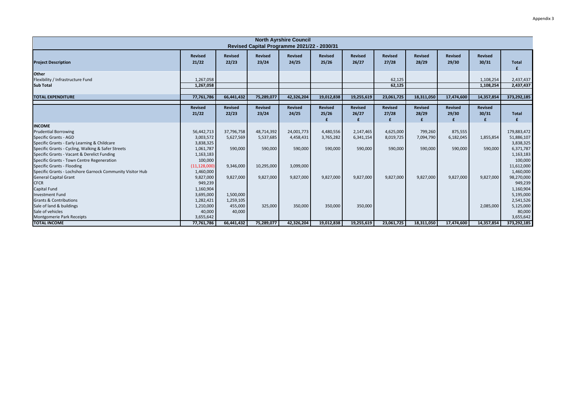|                                                                                                                                       |                                        |                         | Revised Capital Programme 2021/22 - 2030/31 | <b>North Ayrshire Council</b> |                         |                              |                         |                              |                              |                              |                                        |
|---------------------------------------------------------------------------------------------------------------------------------------|----------------------------------------|-------------------------|---------------------------------------------|-------------------------------|-------------------------|------------------------------|-------------------------|------------------------------|------------------------------|------------------------------|----------------------------------------|
| <b>Project Description</b>                                                                                                            | <b>Revised</b><br>21/22                | <b>Revised</b><br>22/23 | <b>Revised</b><br>23/24                     | <b>Revised</b><br>24/25       | <b>Revised</b><br>25/26 | <b>Revised</b><br>26/27      | <b>Revised</b><br>27/28 | <b>Revised</b><br>28/29      | <b>Revised</b><br>29/30      | <b>Revised</b><br>30/31      | <b>Total</b>                           |
| Other<br>Flexibility / Infrastructure Fund<br><b>Sub Total</b>                                                                        | 1,267,058<br>1,267,058                 |                         |                                             |                               |                         |                              | 62,125<br>62,125        |                              |                              | 1,108,254<br>1,108,254       | 2,437,437<br>2,437,437                 |
| <b>TOTAL EXPENDITURE</b>                                                                                                              | 77,761,786                             | 66,441,432              | 75,289,077                                  | 42,326,204                    | 19,012,838              | 19,255,619                   | 23,061,725              | 18,311,050                   | 17,474,600                   | 14,357,854                   | 373,292,185                            |
|                                                                                                                                       | <b>Revised</b><br>21/22                | <b>Revised</b><br>22/23 | <b>Revised</b><br>23/24                     | <b>Revised</b><br>24/25       | <b>Revised</b><br>25/26 | <b>Revised</b><br>26/27<br>£ | <b>Revised</b><br>27/28 | <b>Revised</b><br>28/29<br>£ | <b>Revised</b><br>29/30<br>f | <b>Revised</b><br>30/31<br>£ | <b>Total</b><br>£                      |
| <b>INCOME</b>                                                                                                                         |                                        |                         |                                             |                               |                         |                              |                         |                              |                              |                              |                                        |
| <b>Prudential Borrowing</b><br><b>Specific Grants - AGD</b><br>Specific Grants - Early Learning & Childcare                           | 56,442,713<br>3,003,572<br>3,838,325   | 37,796,758<br>5,627,569 | 48,714,392<br>5,537,685                     | 24,001,773<br>4,458,431       | 4,480,556<br>3,765,282  | 2,147,465<br>6,341,154       | 4,625,000<br>8,019,725  | 799,260<br>7,094,790         | 875,555<br>6,182,045         | 1,855,854                    | 179,883,472<br>51,886,107<br>3,838,325 |
| Specific Grants - Cycling, Walking & Safer Streets<br>Specific Grants - Vacant & Derelict Funding                                     | 1,061,787<br>1,163,183                 | 590,000                 | 590,000                                     | 590,000                       | 590,000                 | 590,000                      | 590,000                 | 590,000                      | 590,000                      | 590,000                      | 6,371,787<br>1,163,183                 |
| Specific Grants - Town Centre Regeneration<br>Specific Grants - Flooding<br>Specific Grants - Lochshore Garnock Community Visitor Hub | 100,000<br>(11, 128, 000)<br>1,460,000 | 9,346,000               | 10,295,000                                  | 3,099,000                     |                         |                              |                         |                              |                              |                              | 100,000<br>11,612,000<br>1,460,000     |
| <b>General Capital Grant</b><br><b>CFCR</b><br><b>Capital Fund</b>                                                                    | 9,827,000<br>949,239<br>1,160,904      | 9,827,000               | 9,827,000                                   | 9,827,000                     | 9,827,000               | 9,827,000                    | 9,827,000               | 9,827,000                    | 9,827,000                    | 9,827,000                    | 98,270,000<br>949,239<br>1,160,904     |
| <b>Investment Fund</b>                                                                                                                | 3,695,000                              | 1,500,000               |                                             |                               |                         |                              |                         |                              |                              |                              | 5,195,000                              |
| <b>Grants &amp; Contributions</b><br>Sale of land & buildings                                                                         | 1,282,421<br>1,210,000                 | 1,259,105<br>455,000    | 325,000                                     | 350,000                       | 350,000                 | 350,000                      |                         |                              |                              | 2,085,000                    | 2,541,526<br>5,125,000                 |
| Sale of vehicles<br>Montgomerie Park Receipts                                                                                         | 40,000<br>3,655,642                    | 40,000                  |                                             |                               |                         |                              |                         |                              |                              |                              | 80,000<br>3,655,642                    |
| <b>TOTAL INCOME</b>                                                                                                                   | 77,761,786                             | 66,441,432              | 75,289,077                                  | 42,326,204                    | 19,012,838              | 19,255,619                   | 23,061,725              | 18,311,050                   | 17,474,600                   | 14,357,854                   | 373,292,185                            |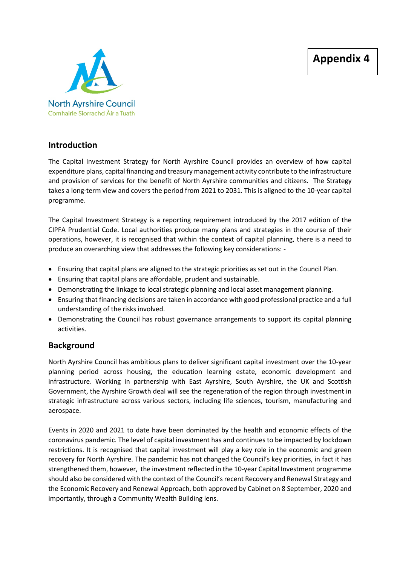

## **Introduction**

The Capital Investment Strategy for North Ayrshire Council provides an overview of how capital expenditure plans, capital financing and treasury management activity contribute to the infrastructure and provision of services for the benefit of North Ayrshire communities and citizens. The Strategy takes a long-term view and covers the period from 2021 to 2031. This is aligned to the 10-year capital programme.

The Capital Investment Strategy is a reporting requirement introduced by the 2017 edition of the CIPFA Prudential Code. Local authorities produce many plans and strategies in the course of their operations, however, it is recognised that within the context of capital planning, there is a need to produce an overarching view that addresses the following key considerations: -

- Ensuring that capital plans are aligned to the strategic priorities as set out in the Council Plan.
- Ensuring that capital plans are affordable, prudent and sustainable.
- Demonstrating the linkage to local strategic planning and local asset management planning.
- Ensuring that financing decisions are taken in accordance with good professional practice and a full understanding of the risks involved.
- Demonstrating the Council has robust governance arrangements to support its capital planning activities.

## **Background**

North Ayrshire Council has ambitious plans to deliver significant capital investment over the 10-year planning period across housing, the education learning estate, economic development and infrastructure. Working in partnership with East Ayrshire, South Ayrshire, the UK and Scottish Government, the Ayrshire Growth deal will see the regeneration of the region through investment in strategic infrastructure across various sectors, including life sciences, tourism, manufacturing and aerospace.

Events in 2020 and 2021 to date have been dominated by the health and economic effects of the coronavirus pandemic. The level of capital investment has and continues to be impacted by lockdown restrictions. It is recognised that capital investment will play a key role in the economic and green recovery for North Ayrshire. The pandemic has not changed the Council's key priorities, in fact it has strengthened them, however, the investment reflected in the 10-year Capital Investment programme should also be considered with the context of the Council's recent Recovery and Renewal Strategy and the Economic Recovery and Renewal Approach, both approved by Cabinet on 8 September, 2020 and importantly, through a Community Wealth Building lens.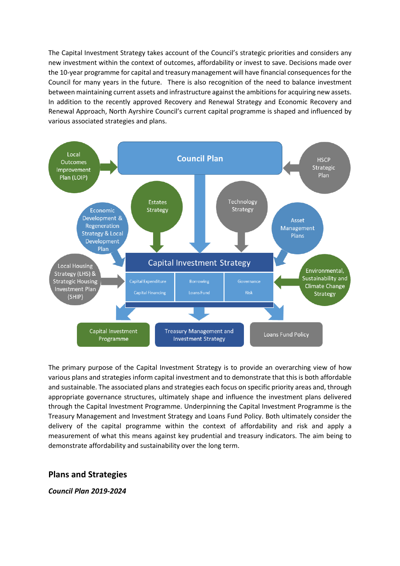The Capital Investment Strategy takes account of the Council's strategic priorities and considers any new investment within the context of outcomes, affordability or invest to save. Decisions made over the 10-year programme for capital and treasury management will have financial consequences for the Council for many years in the future. There is also recognition of the need to balance investment between maintaining current assets and infrastructure against the ambitions for acquiring new assets. In addition to the recently approved Recovery and Renewal Strategy and Economic Recovery and Renewal Approach, North Ayrshire Council's current capital programme is shaped and influenced by various associated strategies and plans.



The primary purpose of the Capital Investment Strategy is to provide an overarching view of how various plans and strategies inform capital investment and to demonstrate that this is both affordable and sustainable. The associated plans and strategies each focus on specific priority areas and, through appropriate governance structures, ultimately shape and influence the investment plans delivered through the Capital Investment Programme. Underpinning the Capital Investment Programme is the Treasury Management and Investment Strategy and Loans Fund Policy. Both ultimately consider the delivery of the capital programme within the context of affordability and risk and apply a measurement of what this means against key prudential and treasury indicators. The aim being to demonstrate affordability and sustainability over the long term.

## **Plans and Strategies**

*Council Plan 2019-2024*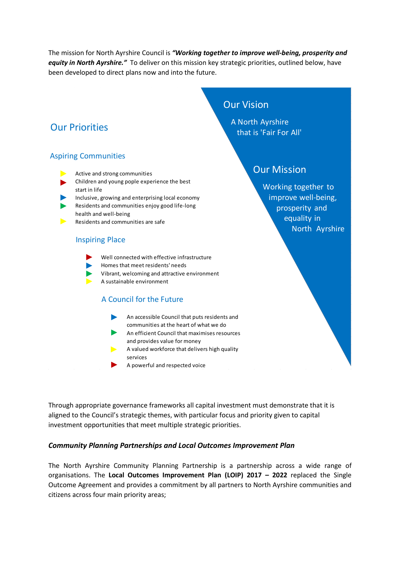The mission for North Ayrshire Council is *"Working together to improve well-being, prosperity and equity in North Ayrshire."* To deliver on this mission key strategic priorities, outlined below, have been developed to direct plans now and into the future.

## Our Priorities

#### Aspiring Communities

- Active and strong communities
- Children and young pople experience the best start in life
- Inclusive, growing and enterprising local economy
- Residents and communities enjoy good life-long  $\blacktriangleright$ health and well-being
- Residents and communities are safe

#### Inspiring Place

- Well connected with effective infrastructure
- Homes that meet residents' needs
- Vibrant, welcoming and attractive environment
- A sustainable environment

### A Council for the Future

- An accessible Council that puts residents and communities at the heart of what we do
- An efficient Council that maximises resources and provides value for money
- $\blacktriangleright$  A valued workforce that delivers high quality services
- A powerful and respected voice

Through appropriate governance frameworks all capital investment must demonstrate that it is aligned to the Council's strategic themes, with particular focus and priority given to capital investment opportunities that meet multiple strategic priorities.

#### *Community Planning Partnerships and Local Outcomes Improvement Plan*

The North Ayrshire Community Planning Partnership is a partnership across a wide range of organisations. The **Local Outcomes Improvement Plan (LOIP) 2017 – 2022** replaced the Single Outcome Agreement and provides a commitment by all partners to North Ayrshire communities and citizens across four main priority areas;

## Our Vision

A North Ayrshire that is 'Fair For All'

## Our Mission

Working together to improve well-being, prosperity and equality in North Ayrshire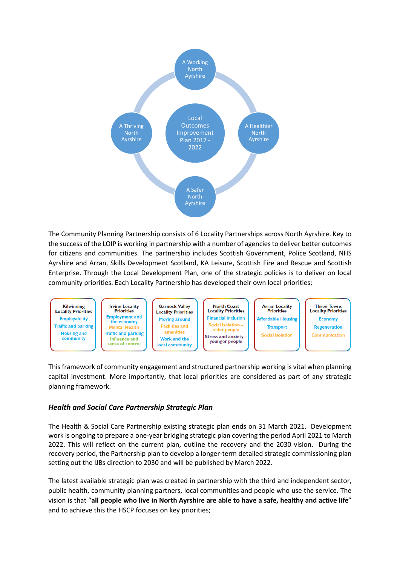

The Community Planning Partnership consists of 6 Locality Partnerships across North Ayrshire. Key to the success of the LOIP is working in partnership with a number of agencies to deliver better outcomes for citizens and communities. The partnership includes Scottish Government, Police Scotland, NHS Ayrshire and Arran, Skills Development Scotland, KA Leisure, Scottish Fire and Rescue and Scottish Enterprise. Through the Local Development Plan, one of the strategic policies is to deliver on local community priorities. Each Locality Partnership has developed their own local priorities;

![](_page_19_Figure_2.jpeg)

This framework of community engagement and structured partnership working is vital when planning capital investment. More importantly, that local priorities are considered as part of any strategic planning framework.

#### *Health and Social Care Partnership Strategic Plan*

The Health & Social Care Partnership existing strategic plan ends on 31 March 2021. Development work is ongoing to prepare a one-year bridging strategic plan covering the period April 2021 to March 2022. This will reflect on the current plan, outline the recovery and the 2030 vision. During the recovery period, the Partnership plan to develop a longer-term detailed strategic commissioning plan setting out the IJBs direction to 2030 and will be published by March 2022.

The latest available strategic plan was created in partnership with the third and independent sector, public health, community planning partners, local communities and people who use the service. The vision is that "**all people who live in North Ayrshire are able to have a safe, healthy and active life**" and to achieve this the HSCP focuses on key priorities;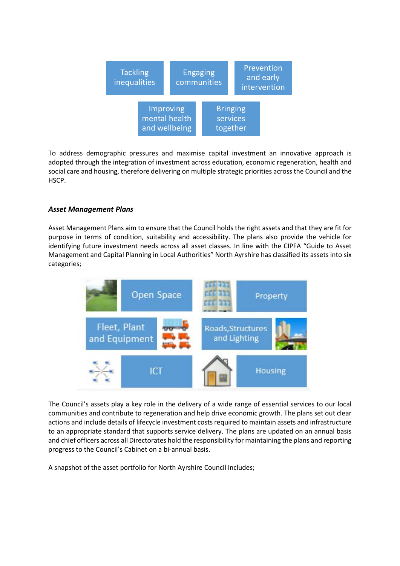![](_page_20_Figure_0.jpeg)

To address demographic pressures and maximise capital investment an innovative approach is adopted through the integration of investment across education, economic regeneration, health and social care and housing, therefore delivering on multiple strategic priorities across the Council and the HSCP.

#### *Asset Management Plans*

Asset Management Plans aim to ensure that the Council holds the right assets and that they are fit for purpose in terms of condition, suitability and accessibility. The plans also provide the vehicle for identifying future investment needs across all asset classes. In line with the CIPFA "Guide to Asset Management and Capital Planning in Local Authorities" North Ayrshire has classified its assets into six categories;

![](_page_20_Figure_4.jpeg)

The Council's assets play a key role in the delivery of a wide range of essential services to our local communities and contribute to regeneration and help drive economic growth. The plans set out clear actions and include details of lifecycle investment costs required to maintain assets and infrastructure to an appropriate standard that supports service delivery. The plans are updated on an annual basis and chief officers across all Directorates hold the responsibility for maintaining the plans and reporting progress to the Council's Cabinet on a bi-annual basis.

A snapshot of the asset portfolio for North Ayrshire Council includes;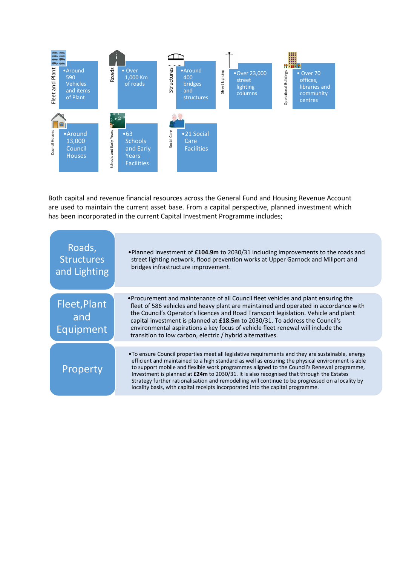![](_page_21_Figure_0.jpeg)

Both capital and revenue financial resources across the General Fund and Housing Revenue Account are used to maintain the current asset base. From a capital perspective, planned investment which

| Roads,<br><b>Structures</b><br>and Lighting | •Planned investment of £104.9m to 2030/31 including improvements to the roads and<br>street lighting network, flood prevention works at Upper Garnock and Millport and<br>bridges infrastructure improvement.                                                                                                                                                                                                                                                                      |
|---------------------------------------------|------------------------------------------------------------------------------------------------------------------------------------------------------------------------------------------------------------------------------------------------------------------------------------------------------------------------------------------------------------------------------------------------------------------------------------------------------------------------------------|
| Fleet, Plant                                | • Procurement and maintenance of all Council fleet vehicles and plant ensuring the<br>fleet of 586 vehicles and heavy plant are maintained and operated in accordance with<br>the Council's Operator's licences and Road Transport legislation. Vehicle and plant                                                                                                                                                                                                                  |
| and<br>Equipment                            | capital investment is planned at £18.5m to 2030/31. To address the Council's<br>environmental aspirations a key focus of vehicle fleet renewal will include the<br>transition to low carbon, electric / hybrid alternatives.                                                                                                                                                                                                                                                       |
|                                             | •To ensure Council properties meet all legislative requirements and they are sustainable, energy                                                                                                                                                                                                                                                                                                                                                                                   |
| Property                                    | efficient and maintained to a high standard as well as ensuring the physical environment is able<br>to support mobile and flexible work programmes aligned to the Council's Renewal programme,<br>Investment is planned at $£24m$ to 2030/31. It is also recognised that through the Estates<br>Strategy further rationalisation and remodelling will continue to be progressed on a locality by<br>locality basis, with capital receipts incorporated into the capital programme. |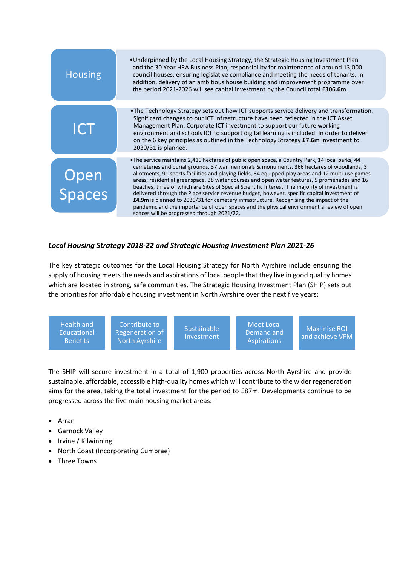| <b>Housing</b> | •Underpinned by the Local Housing Strategy, the Strategic Housing Investment Plan<br>and the 30 Year HRA Business Plan, responsibility for maintenance of around 13,000<br>council houses, ensuring legislative compliance and meeting the needs of tenants. In<br>addition, delivery of an ambitious house building and improvement programme over<br>the period 2021-2026 will see capital investment by the Council total £306.6m.                                                                                                                                                                                                                                                                                                                                                                                                   |
|----------------|-----------------------------------------------------------------------------------------------------------------------------------------------------------------------------------------------------------------------------------------------------------------------------------------------------------------------------------------------------------------------------------------------------------------------------------------------------------------------------------------------------------------------------------------------------------------------------------------------------------------------------------------------------------------------------------------------------------------------------------------------------------------------------------------------------------------------------------------|
|                | . The Technology Strategy sets out how ICT supports service delivery and transformation.                                                                                                                                                                                                                                                                                                                                                                                                                                                                                                                                                                                                                                                                                                                                                |
| ICT            | Significant changes to our ICT infrastructure have been reflected in the ICT Asset<br>Management Plan. Corporate ICT investment to support our future working<br>environment and schools ICT to support digital learning is included. In order to deliver<br>on the 6 key principles as outlined in the Technology Strategy $£7.6m$ investment to<br>2030/31 is planned.                                                                                                                                                                                                                                                                                                                                                                                                                                                                |
|                |                                                                                                                                                                                                                                                                                                                                                                                                                                                                                                                                                                                                                                                                                                                                                                                                                                         |
| Open<br>Spaces | •The service maintains 2,410 hectares of public open space, a Country Park, 14 local parks, 44<br>cemeteries and burial grounds, 37 war memorials & monuments, 366 hectares of woodlands, 3<br>allotments, 91 sports facilities and playing fields, 84 equipped play areas and 12 multi-use games<br>areas, residential greenspace, 38 water courses and open water features, 5 promenades and 16<br>beaches, three of which are Sites of Special Scientific Interest. The majority of investment is<br>delivered through the Place service revenue budget, however, specific capital investment of<br>£4.9m is planned to 2030/31 for cemetery infrastructure. Recognising the impact of the<br>pandemic and the importance of open spaces and the physical environment a review of open<br>spaces will be progressed through 2021/22. |

### *Local Housing Strategy 2018-22 and Strategic Housing Investment Plan 2021-26*

The key strategic outcomes for the Local Housing Strategy for North Ayrshire include ensuring the supply of housing meets the needs and aspirations of local people that they live in good quality homes which are located in strong, safe communities. The Strategic Housing Investment Plan (SHIP) sets out the priorities for affordable housing investment in North Ayrshire over the next five years;

![](_page_22_Figure_3.jpeg)

The SHIP will secure investment in a total of 1,900 properties across North Ayrshire and provide sustainable, affordable, accessible high-quality homes which will contribute to the wider regeneration aims for the area, taking the total investment for the period to £87m. Developments continue to be progressed across the five main housing market areas: -

- Arran
- Garnock Valley
- Irvine / Kilwinning
- North Coast (Incorporating Cumbrae)
- Three Towns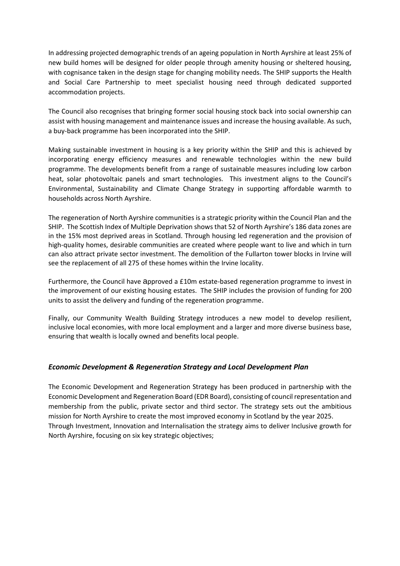In addressing projected demographic trends of an ageing population in North Ayrshire at least 25% of new build homes will be designed for older people through amenity housing or sheltered housing, with cognisance taken in the design stage for changing mobility needs. The SHIP supports the Health and Social Care Partnership to meet specialist housing need through dedicated supported accommodation projects.

The Council also recognises that bringing former social housing stock back into social ownership can assist with housing management and maintenance issues and increase the housing available. As such, a buy-back programme has been incorporated into the SHIP.

Making sustainable investment in housing is a key priority within the SHIP and this is achieved by incorporating energy efficiency measures and renewable technologies within the new build programme. The developments benefit from a range of sustainable measures including low carbon heat, solar photovoltaic panels and smart technologies. This investment aligns to the Council's Environmental, Sustainability and Climate Change Strategy in supporting affordable warmth to households across North Ayrshire.

The regeneration of North Ayrshire communities is a strategic priority within the Council Plan and the SHIP. The Scottish Index of Multiple Deprivation shows that 52 of North Ayrshire's 186 data zones are in the 15% most deprived areas in Scotland. Through housing led regeneration and the provision of high-quality homes, desirable communities are created where people want to live and which in turn can also attract private sector investment. The demolition of the Fullarton tower blocks in Irvine will see the replacement of all 275 of these homes within the Irvine locality.

Furthermore, the Council have approved a £10m estate-based regeneration programme to invest in the improvement of our existing housing estates. The SHIP includes the provision of funding for 200 units to assist the delivery and funding of the regeneration programme.

Finally, our Community Wealth Building Strategy introduces a new model to develop resilient, inclusive local economies, with more local employment and a larger and more diverse business base, ensuring that wealth is locally owned and benefits local people.

#### *Economic Development & Regeneration Strategy and Local Development Plan*

The Economic Development and Regeneration Strategy has been produced in partnership with the Economic Development and Regeneration Board (EDR Board), consisting of council representation and membership from the public, private sector and third sector. The strategy sets out the ambitious mission for North Ayrshire to create the most improved economy in Scotland by the year 2025. Through Investment, Innovation and Internalisation the strategy aims to deliver Inclusive growth for North Ayrshire, focusing on six key strategic objectives;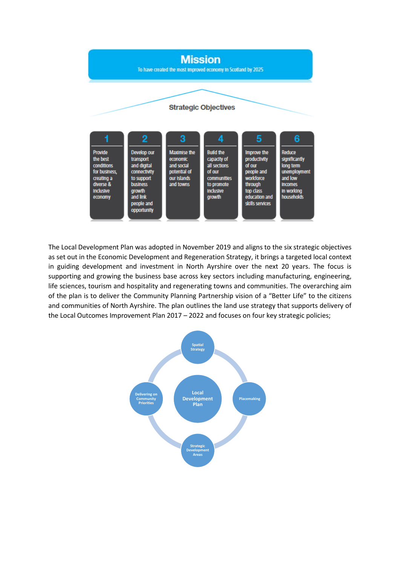![](_page_24_Figure_0.jpeg)

The Local Development Plan was adopted in November 2019 and aligns to the six strategic objectives as set out in the Economic Development and Regeneration Strategy, it brings a targeted local context in guiding development and investment in North Ayrshire over the next 20 years. The focus is supporting and growing the business base across key sectors including manufacturing, engineering, life sciences, tourism and hospitality and regenerating towns and communities. The overarching aim of the plan is to deliver the Community Planning Partnership vision of a "Better Life" to the citizens and communities of North Ayrshire. The plan outlines the land use strategy that supports delivery of the Local Outcomes Improvement Plan 2017 – 2022 and focuses on four key strategic policies;

![](_page_24_Figure_2.jpeg)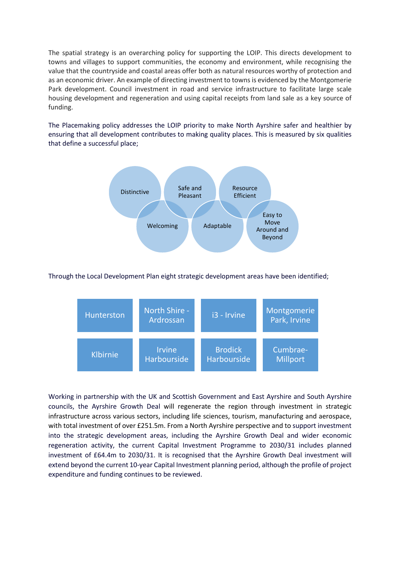The spatial strategy is an overarching policy for supporting the LOIP. This directs development to towns and villages to support communities, the economy and environment, while recognising the value that the countryside and coastal areas offer both as natural resources worthy of protection and as an economic driver. An example of directing investment to towns is evidenced by the Montgomerie Park development. Council investment in road and service infrastructure to facilitate large scale housing development and regeneration and using capital receipts from land sale as a key source of funding.

The Placemaking policy addresses the LOIP priority to make North Ayrshire safer and healthier by ensuring that all development contributes to making quality places. This is measured by six qualities that define a successful place;

![](_page_25_Figure_2.jpeg)

#### Through the Local Development Plan eight strategic development areas have been identified;

![](_page_25_Figure_4.jpeg)

Working in partnership with the UK and Scottish Government and East Ayrshire and South Ayrshire councils, the Ayrshire Growth Deal will regenerate the region through investment in strategic infrastructure across various sectors, including life sciences, tourism, manufacturing and aerospace, with total investment of over £251.5m. From a North Ayrshire perspective and to support investment into the strategic development areas, including the Ayrshire Growth Deal and wider economic regeneration activity, the current Capital Investment Programme to 2030/31 includes planned investment of £64.4m to 2030/31. It is recognised that the Ayrshire Growth Deal investment will extend beyond the current 10-year Capital Investment planning period, although the profile of project expenditure and funding continues to be reviewed.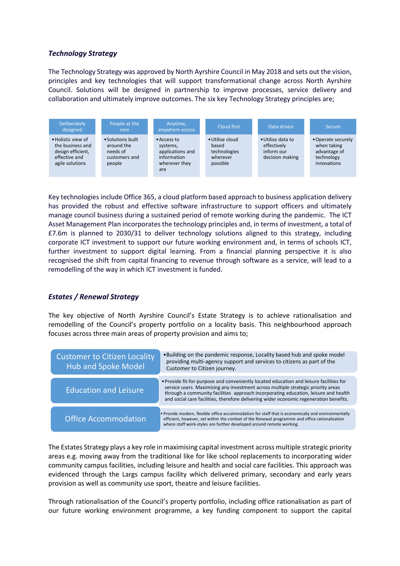#### *Technology Strategy*

The Technology Strategy was approved by North Ayrshire Council in May 2018 and sets out the vision, principles and key technologies that will support transformational change across North Ayrshire Council. Solutions will be designed in partnership to improve processes, service delivery and collaboration and ultimately improve outcomes. The six key Technology Strategy principles are;

![](_page_26_Figure_2.jpeg)

Key technologies include Office 365, a cloud platform based approach to business application delivery has provided the robust and effective software infrastructure to support officers and ultimately manage council business during a sustained period of remote working during the pandemic. The ICT Asset Management Plan incorporates the technology principles and, in terms of investment, a total of £7.6m is planned to 2030/31 to deliver technology solutions aligned to this strategy, including corporate ICT investment to support our future working environment and, in terms of schools ICT, further investment to support digital learning. From a financial planning perspective it is also recognised the shift from capital financing to revenue through software as a service, will lead to a remodelling of the way in which ICT investment is funded.

#### *Estates / Renewal Strategy*

The key objective of North Ayrshire Council's Estate Strategy is to achieve rationalisation and remodelling of the Council's property portfolio on a locality basis. This neighbourhood approach focuses across three main areas of property provision and aims to;

| <b>Customer to Citizen Locality</b><br><b>Hub and Spoke Model</b> | . Building on the pandemic response, Locality based hub and spoke model<br>providing multi-agency support and services to citizens as part of the<br>Customer to Citizen journey.                                                                                                                                                                             |
|-------------------------------------------------------------------|---------------------------------------------------------------------------------------------------------------------------------------------------------------------------------------------------------------------------------------------------------------------------------------------------------------------------------------------------------------|
| <b>Education and Leisure</b>                                      | . Provide fit-for-purpose and conveniently located education and leisure facilities for<br>service users. Maximising any investment across multiple strategic priority areas<br>through a community facilities approach incorporating education, leisure and health<br>and social care facilities, therefore delivering wider economic regeneration benefits. |
| <b>Office Accommodation</b>                                       | . Provide modern, flexible office accommodation for staff that is economically and environmentally<br>efficient, however, set within the context of the Renewal programme and office rationalisation<br>where staff work-styles are further developed around remote working.                                                                                  |

The Estates Strategy plays a key role in maximising capital investment across multiple strategic priority areas e.g. moving away from the traditional like for like school replacements to incorporating wider community campus facilities, including leisure and health and social care facilities. This approach was evidenced through the Largs campus facility which delivered primary, secondary and early years provision as well as community use sport, theatre and leisure facilities.

Through rationalisation of the Council's property portfolio, including office rationalisation as part of our future working environment programme, a key funding component to support the capital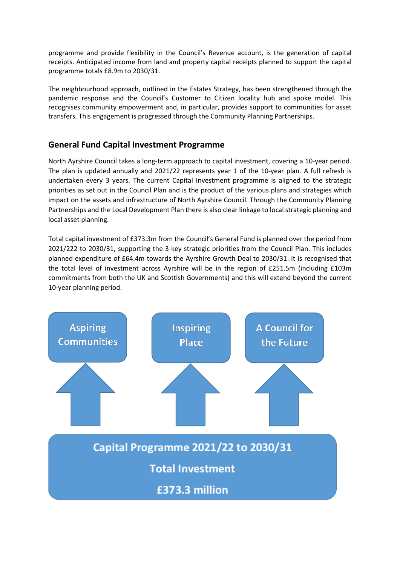programme and provide flexibility in the Council's Revenue account, is the generation of capital receipts. Anticipated income from land and property capital receipts planned to support the capital programme totals £8.9m to 2030/31.

The neighbourhood approach, outlined in the Estates Strategy, has been strengthened through the pandemic response and the Council's Customer to Citizen locality hub and spoke model. This recognises community empowerment and, in particular, provides support to communities for asset transfers. This engagement is progressed through the Community Planning Partnerships.

## **General Fund Capital Investment Programme**

North Ayrshire Council takes a long-term approach to capital investment, covering a 10-year period. The plan is updated annually and 2021/22 represents year 1 of the 10-year plan. A full refresh is undertaken every 3 years. The current Capital Investment programme is aligned to the strategic priorities as set out in the Council Plan and is the product of the various plans and strategies which impact on the assets and infrastructure of North Ayrshire Council. Through the Community Planning Partnerships and the Local Development Plan there is also clear linkage to local strategic planning and local asset planning.

Total capital investment of £373.3m from the Council's General Fund is planned over the period from 2021/222 to 2030/31, supporting the 3 key strategic priorities from the Council Plan. This includes planned expenditure of £64.4m towards the Ayrshire Growth Deal to 2030/31. It is recognised that the total level of investment across Ayrshire will be in the region of £251.5m (including £103m commitments from both the UK and Scottish Governments) and this will extend beyond the current 10-year planning period.

![](_page_27_Figure_5.jpeg)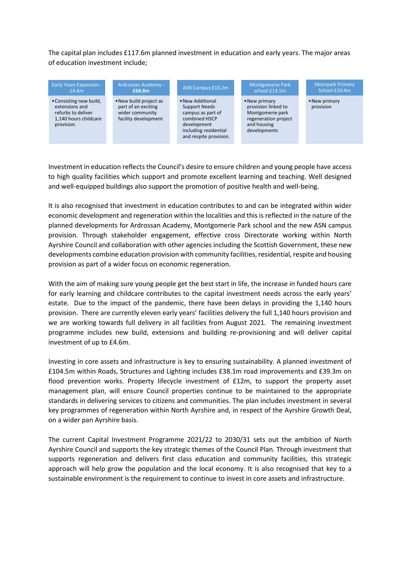The capital plan includes £117.6m planned investment in education and early years. The major areas of education investment include;

![](_page_28_Figure_1.jpeg)

Investment in education reflects the Council's desire to ensure children and young people have access to high quality facilities which support and promote excellent learning and teaching. Well designed and well-equipped buildings also support the promotion of positive health and well-being.

It is also recognised that investment in education contributes to and can be integrated within wider economic development and regeneration within the localities and this is reflected in the nature of the planned developments for Ardrossan Academy, Montgomerie Park school and the new ASN campus provision. Through stakeholder engagement, effective cross Directorate working within North Ayrshire Council and collaboration with other agencies including the Scottish Government, these new developments combine education provision with community facilities, residential, respite and housing provision as part of a wider focus on economic regeneration.

With the aim of making sure young people get the best start in life, the increase in funded hours care for early learning and childcare contributes to the capital investment needs across the early years' estate. Due to the impact of the pandemic, there have been delays in providing the 1,140 hours provision. There are currently eleven early years' facilities delivery the full 1,140 hours provision and we are working towards full delivery in all facilities from August 2021. The remaining investment programme includes new build, extensions and building re-provisioning and will deliver capital investment of up to £4.6m.

Investing in core assets and infrastructure is key to ensuring sustainability. A planned investment of £104.5m within Roads, Structures and Lighting includes £38.1m road improvements and £39.3m on flood prevention works. Property lifecycle investment of £12m, to support the property asset management plan, will ensure Council properties continue to be maintained to the appropriate standards in delivering services to citizens and communities. The plan includes investment in several key programmes of regeneration within North Ayrshire and, in respect of the Ayrshire Growth Deal, on a wider pan Ayrshire basis.

The current Capital Investment Programme 2021/22 to 2030/31 sets out the ambition of North Ayrshire Council and supports the key strategic themes of the Council Plan. Through investment that supports regeneration and delivers first class education and community facilities, this strategic approach will help grow the population and the local economy. It is also recognised that key to a sustainable environment is the requirement to continue to invest in core assets and infrastructure.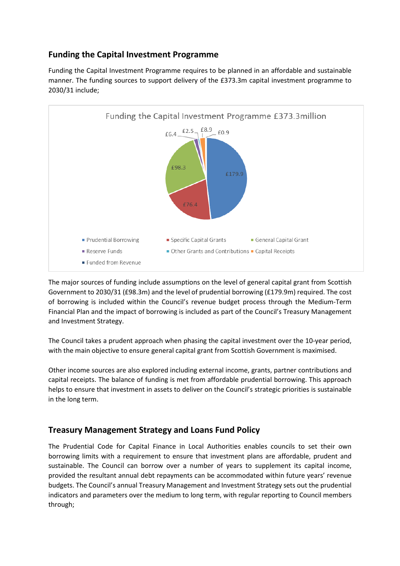## **Funding the Capital Investment Programme**

Funding the Capital Investment Programme requires to be planned in an affordable and sustainable manner. The funding sources to support delivery of the £373.3m capital investment programme to 2030/31 include;

![](_page_29_Figure_2.jpeg)

The major sources of funding include assumptions on the level of general capital grant from Scottish Government to 2030/31 (£98.3m) and the level of prudential borrowing (£179.9m) required. The cost of borrowing is included within the Council's revenue budget process through the Medium-Term Financial Plan and the impact of borrowing is included as part of the Council's Treasury Management and Investment Strategy.

The Council takes a prudent approach when phasing the capital investment over the 10-year period, with the main objective to ensure general capital grant from Scottish Government is maximised.

Other income sources are also explored including external income, grants, partner contributions and capital receipts. The balance of funding is met from affordable prudential borrowing. This approach helps to ensure that investment in assets to deliver on the Council's strategic priorities is sustainable in the long term.

## **Treasury Management Strategy and Loans Fund Policy**

The Prudential Code for Capital Finance in Local Authorities enables councils to set their own borrowing limits with a requirement to ensure that investment plans are affordable, prudent and sustainable. The Council can borrow over a number of years to supplement its capital income, provided the resultant annual debt repayments can be accommodated within future years' revenue budgets. The Council's annual Treasury Management and Investment Strategy sets out the prudential indicators and parameters over the medium to long term, with regular reporting to Council members through;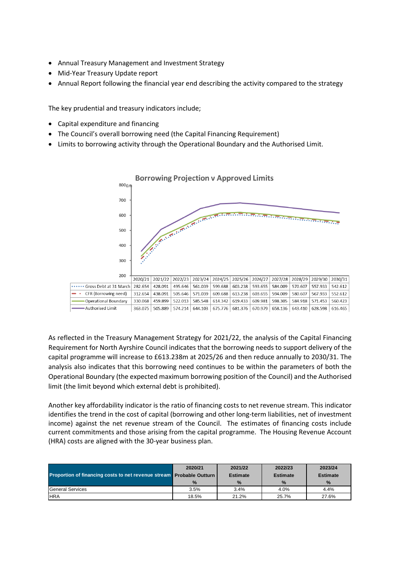- Annual Treasury Management and Investment Strategy
- Mid-Year Treasury Update report
- Annual Report following the financial year end describing the activity compared to the strategy

The key prudential and treasury indicators include;

- Capital expenditure and financing
- The Council's overall borrowing need (the Capital Financing Requirement)
- Limits to borrowing activity through the Operational Boundary and the Authorised Limit.

![](_page_30_Figure_7.jpeg)

As reflected in the Treasury Management Strategy for 2021/22, the analysis of the Capital Financing Requirement for North Ayrshire Council indicates that the borrowing needs to support delivery of the capital programme will increase to £613.238m at 2025/26 and then reduce annually to 2030/31. The analysis also indicates that this borrowing need continues to be within the parameters of both the Operational Boundary (the expected maximum borrowing position of the Council) and the Authorised limit (the limit beyond which external debt is prohibited).

Another key affordability indicator is the ratio of financing costs to net revenue stream. This indicator identifies the trend in the cost of capital (borrowing and other long-term liabilities, net of investment income) against the net revenue stream of the Council. The estimates of financing costs include current commitments and those arising from the capital programme. The Housing Revenue Account (HRA) costs are aligned with the 30-year business plan.

| <b>Proportion of financing costs to net revenue stream Probable Outturn</b> | 2020/21       | 2021/22<br><b>Estimate</b> | 2022/23<br><b>Estimate</b> | 2023/24<br><b>Estimate</b> |
|-----------------------------------------------------------------------------|---------------|----------------------------|----------------------------|----------------------------|
|                                                                             | $\frac{9}{6}$ | $\%$                       | $\frac{9}{6}$              | $\frac{9}{6}$              |
| <b>IGeneral Services</b>                                                    | 3.5%          | 3.4%                       | 4.0%                       | 4.4%                       |
| <b>HRA</b>                                                                  | 18.5%         | 21.2%                      | 25.7%                      | 27.6%                      |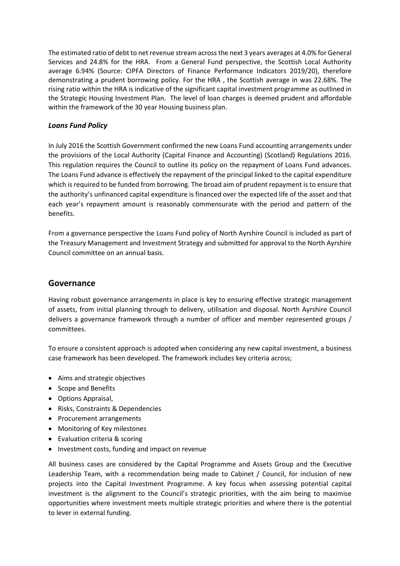The estimated ratio of debt to net revenue stream across the next 3 years averages at 4.0% for General Services and 24.8% for the HRA. From a General Fund perspective, the Scottish Local Authority average 6.94% (Source: CIPFA Directors of Finance Performance Indicators 2019/20), therefore demonstrating a prudent borrowing policy. For the HRA , the Scottish average in was 22.68%. The rising ratio within the HRA is indicative of the significant capital investment programme as outlined in the Strategic Housing Investment Plan. The level of loan charges is deemed prudent and affordable within the framework of the 30 year Housing business plan.

#### *Loans Fund Policy*

In July 2016 the Scottish Government confirmed the new Loans Fund accounting arrangements under the provisions of the Local Authority (Capital Finance and Accounting) (Scotland) Regulations 2016. This regulation requires the Council to outline its policy on the repayment of Loans Fund advances. The Loans Fund advance is effectively the repayment of the principal linked to the capital expenditure which is required to be funded from borrowing. The broad aim of prudent repayment is to ensure that the authority's unfinanced capital expenditure is financed over the expected life of the asset and that each year's repayment amount is reasonably commensurate with the period and pattern of the benefits.

From a governance perspective the Loans Fund policy of North Ayrshire Council is included as part of the Treasury Management and Investment Strategy and submitted for approval to the North Ayrshire Council committee on an annual basis.

### **Governance**

Having robust governance arrangements in place is key to ensuring effective strategic management of assets, from initial planning through to delivery, utilisation and disposal. North Ayrshire Council delivers a governance framework through a number of officer and member represented groups / committees.

To ensure a consistent approach is adopted when considering any new capital investment, a business case framework has been developed. The framework includes key criteria across;

- Aims and strategic objectives
- Scope and Benefits
- Options Appraisal,
- Risks, Constraints & Dependencies
- Procurement arrangements
- Monitoring of Key milestones
- Evaluation criteria & scoring
- Investment costs, funding and impact on revenue

All business cases are considered by the Capital Programme and Assets Group and the Executive Leadership Team, with a recommendation being made to Cabinet / Council, for inclusion of new projects into the Capital Investment Programme. A key focus when assessing potential capital investment is the alignment to the Council's strategic priorities, with the aim being to maximise opportunities where investment meets multiple strategic priorities and where there is the potential to lever in external funding.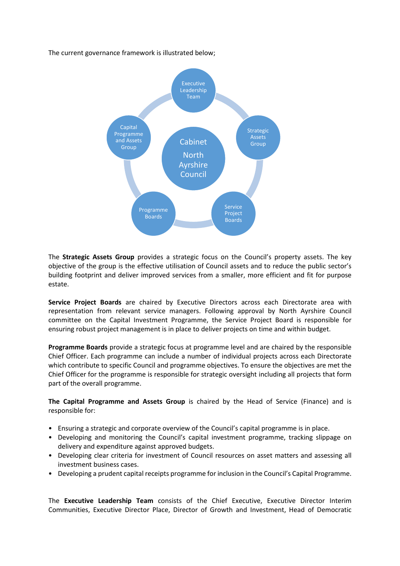The current governance framework is illustrated below;

![](_page_32_Figure_1.jpeg)

The **Strategic Assets Group** provides a strategic focus on the Council's property assets. The key objective of the group is the effective utilisation of Council assets and to reduce the public sector's building footprint and deliver improved services from a smaller, more efficient and fit for purpose estate.

**Service Project Boards** are chaired by Executive Directors across each Directorate area with representation from relevant service managers. Following approval by North Ayrshire Council committee on the Capital Investment Programme, the Service Project Board is responsible for ensuring robust project management is in place to deliver projects on time and within budget.

**Programme Boards** provide a strategic focus at programme level and are chaired by the responsible Chief Officer. Each programme can include a number of individual projects across each Directorate which contribute to specific Council and programme objectives. To ensure the objectives are met the Chief Officer for the programme is responsible for strategic oversight including all projects that form part of the overall programme.

**The Capital Programme and Assets Group** is chaired by the Head of Service (Finance) and is responsible for:

- Ensuring a strategic and corporate overview of the Council's capital programme is in place.
- Developing and monitoring the Council's capital investment programme, tracking slippage on delivery and expenditure against approved budgets.
- Developing clear criteria for investment of Council resources on asset matters and assessing all investment business cases.
- Developing a prudent capital receipts programme for inclusion in the Council's Capital Programme.

The **Executive Leadership Team** consists of the Chief Executive, Executive Director Interim Communities, Executive Director Place, Director of Growth and Investment, Head of Democratic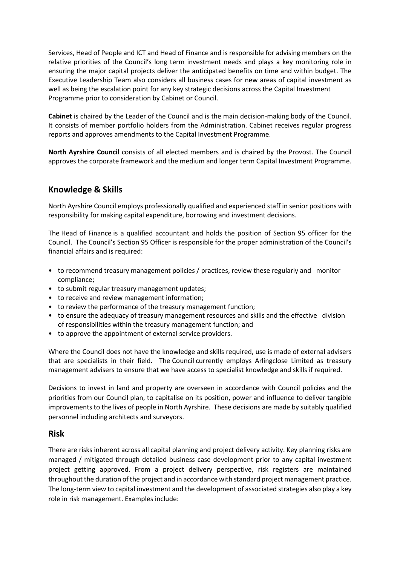Services, Head of People and ICT and Head of Finance and is responsible for advising members on the relative priorities of the Council's long term investment needs and plays a key monitoring role in ensuring the major capital projects deliver the anticipated benefits on time and within budget. The Executive Leadership Team also considers all business cases for new areas of capital investment as well as being the escalation point for any key strategic decisions across the Capital Investment Programme prior to consideration by Cabinet or Council.

**Cabinet** is chaired by the Leader of the Council and is the main decision-making body of the Council. It consists of member portfolio holders from the Administration. Cabinet receives regular progress reports and approves amendments to the Capital Investment Programme.

**North Ayrshire Council** consists of all elected members and is chaired by the Provost. The Council approves the corporate framework and the medium and longer term Capital Investment Programme.

## **Knowledge & Skills**

North Ayrshire Council employs professionally qualified and experienced staff in senior positions with responsibility for making capital expenditure, borrowing and investment decisions.

The Head of Finance is a qualified accountant and holds the position of Section 95 officer for the Council. The Council's Section 95 Officer is responsible for the proper administration of the Council's financial affairs and is required:

- to recommend treasury management policies / practices, review these regularly and monitor compliance;
- to submit regular treasury management updates;
- to receive and review management information;
- to review the performance of the treasury management function;
- to ensure the adequacy of treasury management resources and skills and the effective division of responsibilities within the treasury management function; and
- to approve the appointment of external service providers.

Where the Council does not have the knowledge and skills required, use is made of external advisers that are specialists in their field. The Council currently employs Arlingclose Limited as treasury management advisers to ensure that we have access to specialist knowledge and skills if required.

Decisions to invest in land and property are overseen in accordance with Council policies and the priorities from our Council plan, to capitalise on its position, power and influence to deliver tangible improvements to the lives of people in North Ayrshire. These decisions are made by suitably qualified personnel including architects and surveyors.

#### **Risk**

There are risks inherent across all capital planning and project delivery activity. Key planning risks are managed / mitigated through detailed business case development prior to any capital investment project getting approved. From a project delivery perspective, risk registers are maintained throughout the duration of the project and in accordance with standard project management practice. The long-term view to capital investment and the development of associated strategies also play a key role in risk management. Examples include: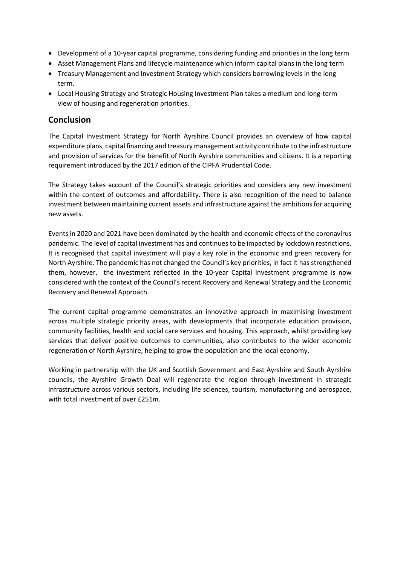- Development of a 10-year capital programme, considering funding and priorities in the long term
- Asset Management Plans and lifecycle maintenance which inform capital plans in the long term
- Treasury Management and Investment Strategy which considers borrowing levels in the long term.
- Local Housing Strategy and Strategic Housing Investment Plan takes a medium and long-term view of housing and regeneration priorities.

## **Conclusion**

The Capital Investment Strategy for North Ayrshire Council provides an overview of how capital expenditure plans, capital financing and treasury management activity contribute to the infrastructure and provision of services for the benefit of North Ayrshire communities and citizens. It is a reporting requirement introduced by the 2017 edition of the CIPFA Prudential Code.

The Strategy takes account of the Council's strategic priorities and considers any new investment within the context of outcomes and affordability. There is also recognition of the need to balance investment between maintaining current assets and infrastructure against the ambitions for acquiring new assets.

Events in 2020 and 2021 have been dominated by the health and economic effects of the coronavirus pandemic. The level of capital investment has and continues to be impacted by lockdown restrictions. It is recognised that capital investment will play a key role in the economic and green recovery for North Ayrshire. The pandemic has not changed the Council's key priorities, in fact it has strengthened them, however, the investment reflected in the 10-year Capital Investment programme is now considered with the context of the Council's recent Recovery and Renewal Strategy and the Economic Recovery and Renewal Approach.

The current capital programme demonstrates an innovative approach in maximising investment across multiple strategic priority areas, with developments that incorporate education provision, community facilities, health and social care services and housing. This approach, whilst providing key services that deliver positive outcomes to communities, also contributes to the wider economic regeneration of North Ayrshire, helping to grow the population and the local economy.

Working in partnership with the UK and Scottish Government and East Ayrshire and South Ayrshire councils, the Ayrshire Growth Deal will regenerate the region through investment in strategic infrastructure across various sectors, including life sciences, tourism, manufacturing and aerospace, with total investment of over £251m.